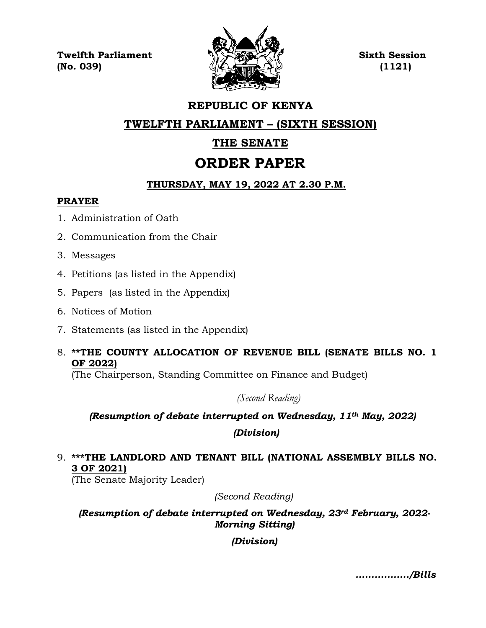**Twelfth Parliament Sixth Session**  $\langle \mathcal{L} \rangle$  (No. 039) (1121)



# **REPUBLIC OF KENYA**

**TWELFTH PARLIAMENT – (SIXTH SESSION)**

# **THE SENATE**

# **ORDER PAPER**

# **THURSDAY, MAY 19, 2022 AT 2.30 P.M.**

### **PRAYER**

- 1. Administration of Oath
- 2. Communication from the Chair
- 3. Messages
- 4. Petitions (as listed in the Appendix)
- 5. Papers (as listed in the Appendix)
- 6. Notices of Motion
- 7. Statements (as listed in the Appendix)
- 8. **\*\*THE COUNTY ALLOCATION OF REVENUE BILL (SENATE BILLS NO. 1 OF 2022)**

(The Chairperson, Standing Committee on Finance and Budget)

*(Second Reading)*

# *(Resumption of debate interrupted on Wednesday, 11th May, 2022)*

*(Division)*

# 9. **\*\*\*THE LANDLORD AND TENANT BILL (NATIONAL ASSEMBLY BILLS NO. 3 OF 2021)**

(The Senate Majority Leader)

*(Second Reading)*

*(Resumption of debate interrupted on Wednesday, 23rd February, 2022- Morning Sitting)*

*(Division)*

*……………../Bills*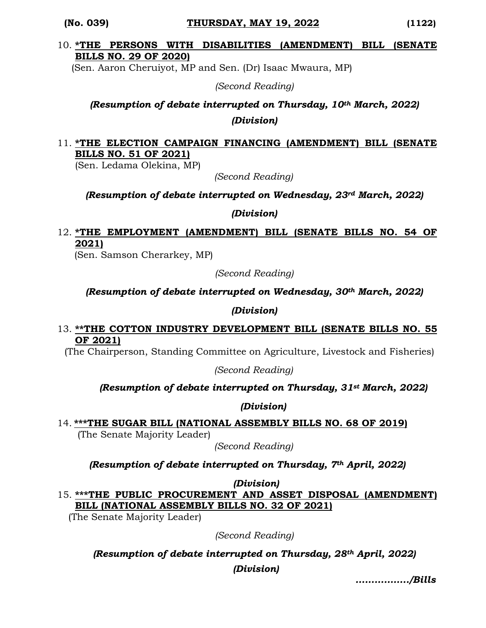#### **(No. 039) THURSDAY, MAY 19, 2022 (1122)**

#### 10. **\*THE PERSONS WITH DISABILITIES (AMENDMENT) BILL (SENATE BILLS NO. 29 OF 2020)**

(Sen. Aaron Cheruiyot, MP and Sen. (Dr) Isaac Mwaura, MP)

*(Second Reading)*

*(Resumption of debate interrupted on Thursday, 10th March, 2022) (Division)*

## 11. **\*THE ELECTION CAMPAIGN FINANCING (AMENDMENT) BILL (SENATE BILLS NO. 51 OF 2021)**

(Sen. Ledama Olekina, MP)

*(Second Reading)*

*(Resumption of debate interrupted on Wednesday, 23rd March, 2022)*

*(Division)*

# 12. **\*THE EMPLOYMENT (AMENDMENT) BILL (SENATE BILLS NO. 54 OF 2021)**

(Sen. Samson Cherarkey, MP)

*(Second Reading)*

*(Resumption of debate interrupted on Wednesday, 30th March, 2022)* 

*(Division)*

#### 13. **\*\*THE COTTON INDUSTRY DEVELOPMENT BILL (SENATE BILLS NO. 55 OF 2021)**

(The Chairperson, Standing Committee on Agriculture, Livestock and Fisheries)

*(Second Reading)*

#### *(Resumption of debate interrupted on Thursday, 31st March, 2022)*

#### *(Division)*

14. **\*\*\*THE SUGAR BILL (NATIONAL ASSEMBLY BILLS NO. 68 OF 2019)**

(The Senate Majority Leader)

*(Second Reading)*

*(Resumption of debate interrupted on Thursday, 7th April, 2022)*

*(Division)*

15. **\*\*\*THE PUBLIC PROCUREMENT AND ASSET DISPOSAL (AMENDMENT) BILL (NATIONAL ASSEMBLY BILLS NO. 32 OF 2021)**

(The Senate Majority Leader)

*(Second Reading)*

*(Resumption of debate interrupted on Thursday, 28th April, 2022) (Division)*

*……………../Bills*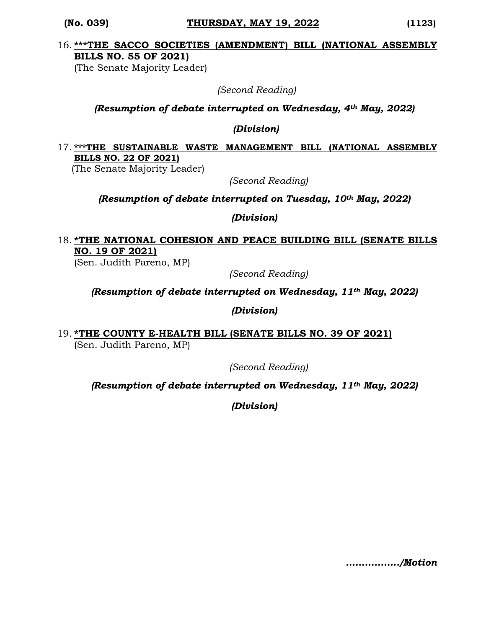#### **(No. 039) THURSDAY, MAY 19, 2022 (1123)**

# 16. **\*\*\*THE SACCO SOCIETIES (AMENDMENT) BILL (NATIONAL ASSEMBLY BILLS NO. 55 OF 2021)**

(The Senate Majority Leader)

 *(Second Reading)*

#### *(Resumption of debate interrupted on Wednesday, 4th May, 2022)*

*(Division)*

### 17. **\*\*\*THE SUSTAINABLE WASTE MANAGEMENT BILL (NATIONAL ASSEMBLY BILLS NO. 22 OF 2021)**

(The Senate Majority Leader)

*(Second Reading)*

#### *(Resumption of debate interrupted on Tuesday, 10th May, 2022)*

*(Division)*

# 18. **\*THE NATIONAL COHESION AND PEACE BUILDING BILL (SENATE BILLS NO. 19 OF 2021)**

(Sen. Judith Pareno, MP)

*(Second Reading)*

*(Resumption of debate interrupted on Wednesday, 11th May, 2022)*

*(Division)*

19. **\*THE COUNTY E-HEALTH BILL (SENATE BILLS NO. 39 OF 2021)**  (Sen. Judith Pareno, MP)

*(Second Reading)*

*(Resumption of debate interrupted on Wednesday, 11th May, 2022)*

*(Division)*

*……………../Motion*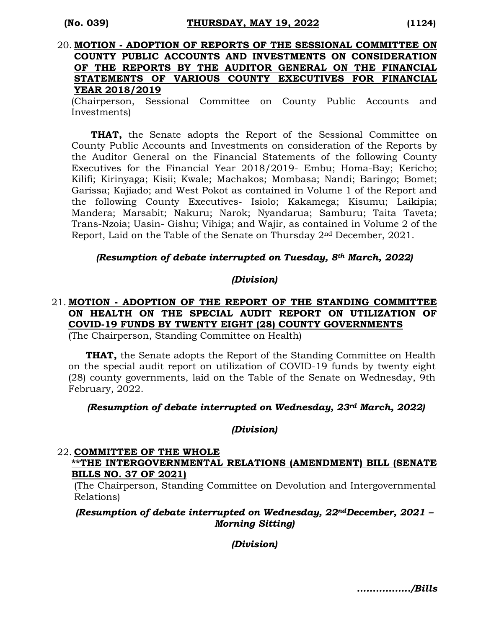#### 20. **MOTION - ADOPTION OF REPORTS OF THE SESSIONAL COMMITTEE ON COUNTY PUBLIC ACCOUNTS AND INVESTMENTS ON CONSIDERATION OF THE REPORTS BY THE AUDITOR GENERAL ON THE FINANCIAL STATEMENTS OF VARIOUS COUNTY EXECUTIVES FOR FINANCIAL YEAR 2018/2019**

(Chairperson, Sessional Committee on County Public Accounts and Investments)

**THAT,** the Senate adopts the Report of the Sessional Committee on County Public Accounts and Investments on consideration of the Reports by the Auditor General on the Financial Statements of the following County Executives for the Financial Year 2018/2019- Embu; Homa-Bay; Kericho; Kilifi; Kirinyaga; Kisii; Kwale; Machakos; Mombasa; Nandi; Baringo; Bomet; Garissa; Kajiado; and West Pokot as contained in Volume 1 of the Report and the following County Executives- Isiolo; Kakamega; Kisumu; Laikipia; Mandera; Marsabit; Nakuru; Narok; Nyandarua; Samburu; Taita Taveta; Trans-Nzoia; Uasin- Gishu; Vihiga; and Wajir, as contained in Volume 2 of the Report, Laid on the Table of the Senate on Thursday 2nd December, 2021.

#### *(Resumption of debate interrupted on Tuesday, 8th March, 2022)*

#### *(Division)*

# 21. **MOTION - ADOPTION OF THE REPORT OF THE STANDING COMMITTEE ON HEALTH ON THE SPECIAL AUDIT REPORT ON UTILIZATION OF COVID-19 FUNDS BY TWENTY EIGHT (28) COUNTY GOVERNMENTS**

(The Chairperson, Standing Committee on Health)

**THAT,** the Senate adopts the Report of the Standing Committee on Health on the special audit report on utilization of COVID-19 funds by twenty eight (28) county governments, laid on the Table of the Senate on Wednesday, 9th February, 2022.

#### *(Resumption of debate interrupted on Wednesday, 23rd March, 2022)*

#### *(Division)*

#### 22. **COMMITTEE OF THE WHOLE**

#### **\*\*THE INTERGOVERNMENTAL RELATIONS (AMENDMENT) BILL (SENATE BILLS NO. 37 OF 2021)**

(The Chairperson, Standing Committee on Devolution and Intergovernmental Relations)

*(Resumption of debate interrupted on Wednesday, 22ndDecember, 2021 – Morning Sitting)*

*(Division)*

*……………../Bills*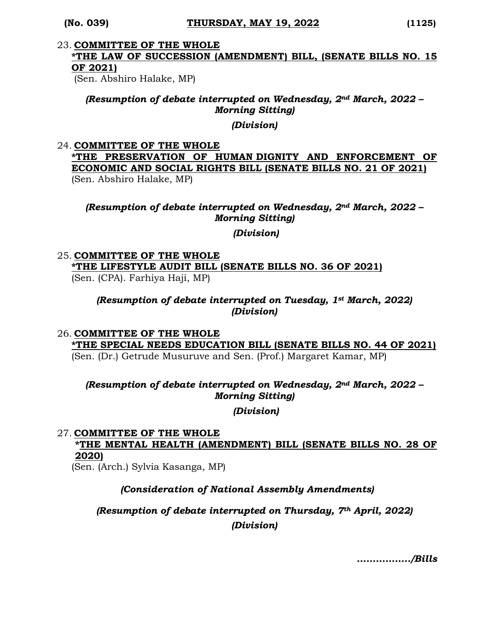#### 23. **COMMITTEE OF THE WHOLE**

# **\*THE LAW OF SUCCESSION (AMENDMENT) BILL, (SENATE BILLS NO. 15 OF 2021)**

(Sen. Abshiro Halake, MP)

*(Resumption of debate interrupted on Wednesday, 2nd March, 2022 – Morning Sitting)*

*(Division)*

#### 24. **COMMITTEE OF THE WHOLE**

### **\*THE PRESERVATION OF HUMAN DIGNITY AND ENFORCEMENT OF ECONOMIC AND SOCIAL RIGHTS BILL (SENATE BILLS NO. 21 OF 2021)**  (Sen. Abshiro Halake, MP)

## *(Resumption of debate interrupted on Wednesday, 2nd March, 2022 – Morning Sitting)*

#### *(Division)*

# 25. **COMMITTEE OF THE WHOLE \*THE LIFESTYLE AUDIT BILL (SENATE BILLS NO. 36 OF 2021)**

(Sen. (CPA). Farhiya Haji, MP)

### *(Resumption of debate interrupted on Tuesday, 1st March, 2022) (Division)*

#### 26. **COMMITTEE OF THE WHOLE \*THE SPECIAL NEEDS EDUCATION BILL (SENATE BILLS NO. 44 OF 2021)**  (Sen. (Dr.) Getrude Musuruve and Sen. (Prof.) Margaret Kamar, MP)

### *(Resumption of debate interrupted on Wednesday, 2nd March, 2022 – Morning Sitting)*

*(Division)*

#### 27. **COMMITTEE OF THE WHOLE**

**\*THE MENTAL HEALTH (AMENDMENT) BILL (SENATE BILLS NO. 28 OF 2020)**

(Sen. (Arch.) Sylvia Kasanga, MP)

# *(Consideration of National Assembly Amendments)*

*(Resumption of debate interrupted on Thursday, 7th April, 2022) (Division)*

*……………../Bills*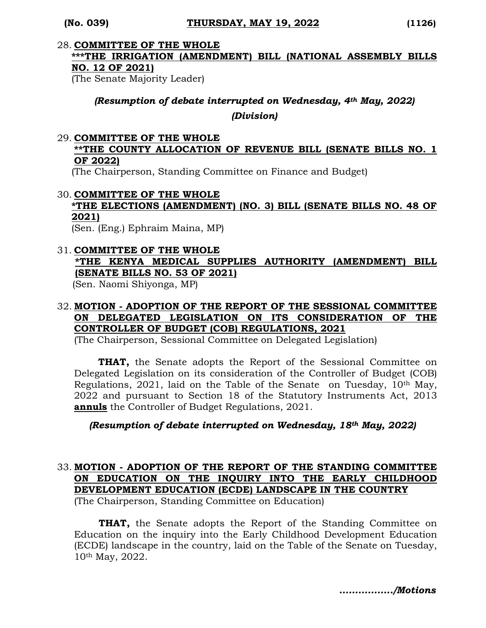#### 28. **COMMITTEE OF THE WHOLE**

# **\*\*\*THE IRRIGATION (AMENDMENT) BILL (NATIONAL ASSEMBLY BILLS NO. 12 OF 2021)**

(The Senate Majority Leader)

#### *(Resumption of debate interrupted on Wednesday, 4th May, 2022)*

*(Division)*

#### 29. **COMMITTEE OF THE WHOLE**

### **\*\*THE COUNTY ALLOCATION OF REVENUE BILL (SENATE BILLS NO. 1 OF 2022)**

(The Chairperson, Standing Committee on Finance and Budget)

#### 30. **COMMITTEE OF THE WHOLE**

#### **\*THE ELECTIONS (AMENDMENT) (NO. 3) BILL (SENATE BILLS NO. 48 OF 2021)**

(Sen. (Eng.) Ephraim Maina, MP)

#### 31. **COMMITTEE OF THE WHOLE \*THE KENYA MEDICAL SUPPLIES AUTHORITY (AMENDMENT) BILL (SENATE BILLS NO. 53 OF 2021)**  (Sen. Naomi Shiyonga, MP)

#### 32. **MOTION - ADOPTION OF THE REPORT OF THE SESSIONAL COMMITTEE ON DELEGATED LEGISLATION ON ITS CONSIDERATION OF THE CONTROLLER OF BUDGET (COB) REGULATIONS, 2021**

(The Chairperson, Sessional Committee on Delegated Legislation)

 **THAT,** the Senate adopts the Report of the Sessional Committee on Delegated Legislation on its consideration of the Controller of Budget (COB) Regulations, 2021, laid on the Table of the Senate on Tuesday, 10<sup>th</sup> May, 2022 and pursuant to Section 18 of the Statutory Instruments Act, 2013 **annuls** the Controller of Budget Regulations, 2021.

#### *(Resumption of debate interrupted on Wednesday, 18th May, 2022)*

# 33. **MOTION - ADOPTION OF THE REPORT OF THE STANDING COMMITTEE ON EDUCATION ON THE INQUIRY INTO THE EARLY CHILDHOOD DEVELOPMENT EDUCATION (ECDE) LANDSCAPE IN THE COUNTRY**

(The Chairperson, Standing Committee on Education)

**THAT,** the Senate adopts the Report of the Standing Committee on Education on the inquiry into the Early Childhood Development Education (ECDE) landscape in the country, laid on the Table of the Senate on Tuesday, 10th May, 2022.

*……………../Motions*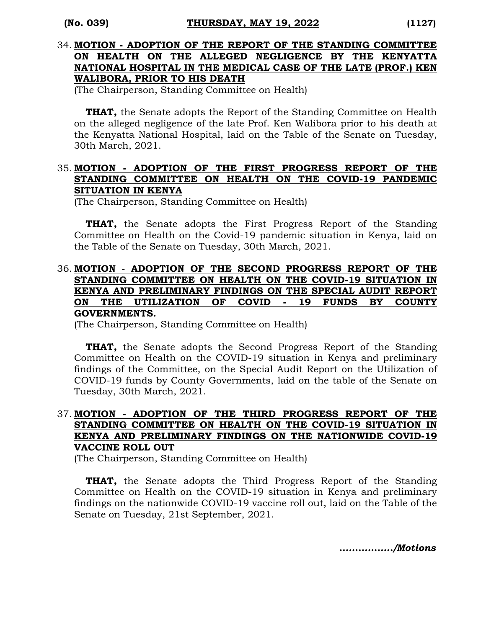### 34. **MOTION - ADOPTION OF THE REPORT OF THE STANDING COMMITTEE ON HEALTH ON THE ALLEGED NEGLIGENCE BY THE KENYATTA NATIONAL HOSPITAL IN THE MEDICAL CASE OF THE LATE (PROF.) KEN WALIBORA, PRIOR TO HIS DEATH**

(The Chairperson, Standing Committee on Health)

**THAT,** the Senate adopts the Report of the Standing Committee on Health on the alleged negligence of the late Prof. Ken Walibora prior to his death at the Kenyatta National Hospital, laid on the Table of the Senate on Tuesday, 30th March, 2021.

#### 35. **MOTION - ADOPTION OF THE FIRST PROGRESS REPORT OF THE STANDING COMMITTEE ON HEALTH ON THE COVID-19 PANDEMIC SITUATION IN KENYA**

(The Chairperson, Standing Committee on Health)

**THAT,** the Senate adopts the First Progress Report of the Standing Committee on Health on the Covid-19 pandemic situation in Kenya, laid on the Table of the Senate on Tuesday, 30th March, 2021.

#### 36. **MOTION - ADOPTION OF THE SECOND PROGRESS REPORT OF THE STANDING COMMITTEE ON HEALTH ON THE COVID-19 SITUATION IN KENYA AND PRELIMINARY FINDINGS ON THE SPECIAL AUDIT REPORT ON THE UTILIZATION OF COVID - 19 FUNDS BY COUNTY GOVERNMENTS.**

(The Chairperson, Standing Committee on Health)

**THAT,** the Senate adopts the Second Progress Report of the Standing Committee on Health on the COVID-19 situation in Kenya and preliminary findings of the Committee, on the Special Audit Report on the Utilization of COVID-19 funds by County Governments, laid on the table of the Senate on Tuesday, 30th March, 2021.

### 37. **MOTION - ADOPTION OF THE THIRD PROGRESS REPORT OF THE STANDING COMMITTEE ON HEALTH ON THE COVID-19 SITUATION IN KENYA AND PRELIMINARY FINDINGS ON THE NATIONWIDE COVID-19 VACCINE ROLL OUT**

(The Chairperson, Standing Committee on Health)

**THAT,** the Senate adopts the Third Progress Report of the Standing Committee on Health on the COVID-19 situation in Kenya and preliminary findings on the nationwide COVID-19 vaccine roll out, laid on the Table of the Senate on Tuesday, 21st September, 2021.

*……………../Motions*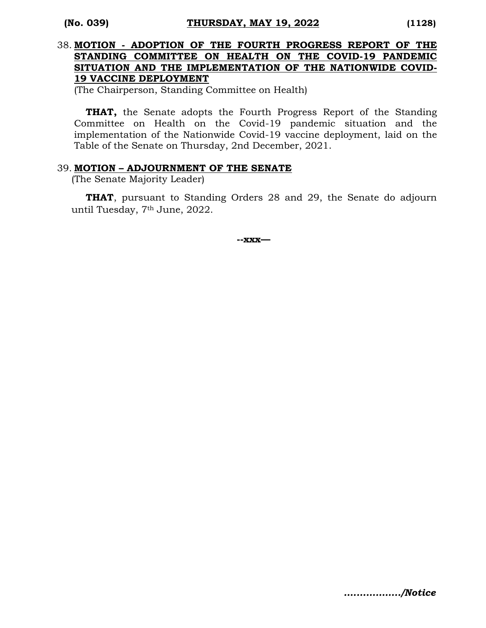### 38. **MOTION - ADOPTION OF THE FOURTH PROGRESS REPORT OF THE STANDING COMMITTEE ON HEALTH ON THE COVID-19 PANDEMIC SITUATION AND THE IMPLEMENTATION OF THE NATIONWIDE COVID-19 VACCINE DEPLOYMENT**

(The Chairperson, Standing Committee on Health)

**THAT,** the Senate adopts the Fourth Progress Report of the Standing Committee on Health on the Covid-19 pandemic situation and the implementation of the Nationwide Covid-19 vaccine deployment, laid on the Table of the Senate on Thursday, 2nd December, 2021.

#### 39. **MOTION – ADJOURNMENT OF THE SENATE**

(The Senate Majority Leader)

**THAT**, pursuant to Standing Orders 28 and 29, the Senate do adjourn until Tuesday, 7th June, 2022.

**--xxx—**

*….…………../Notice*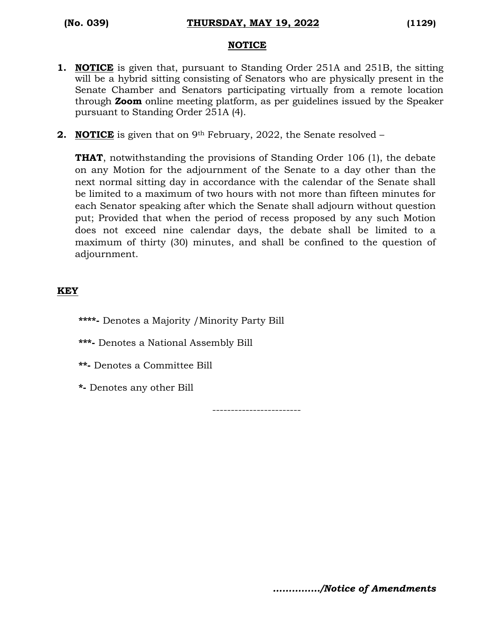#### **NOTICE**

- **1. NOTICE** is given that, pursuant to Standing Order 251A and 251B, the sitting will be a hybrid sitting consisting of Senators who are physically present in the Senate Chamber and Senators participating virtually from a remote location through **Zoom** online meeting platform, as per guidelines issued by the Speaker pursuant to Standing Order 251A (4).
- **2. NOTICE** is given that on 9<sup>th</sup> February, 2022, the Senate resolved –

**THAT**, notwithstanding the provisions of Standing Order 106 (1), the debate on any Motion for the adjournment of the Senate to a day other than the next normal sitting day in accordance with the calendar of the Senate shall be limited to a maximum of two hours with not more than fifteen minutes for each Senator speaking after which the Senate shall adjourn without question put; Provided that when the period of recess proposed by any such Motion does not exceed nine calendar days, the debate shall be limited to a maximum of thirty (30) minutes, and shall be confined to the question of adjournment.

### **KEY**

- **\*\*\*\*-** Denotes a Majority /Minority Party Bill
- **\*\*\*-** Denotes a National Assembly Bill
- **\*\*-** Denotes a Committee Bill
- **\*-** Denotes any other Bill

------------------------

*……………/Notice of Amendments*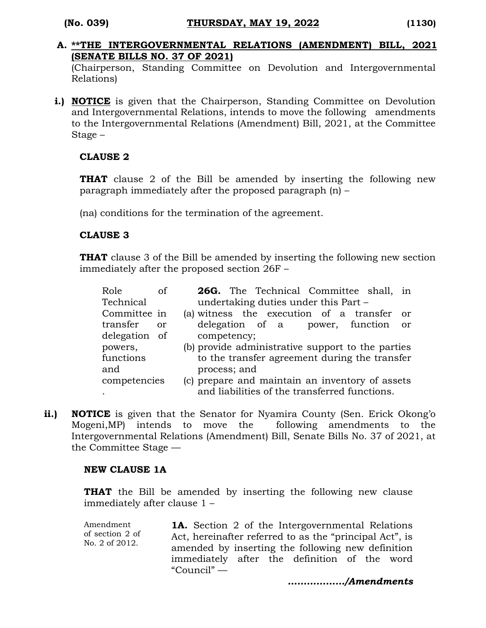**A. \*\*THE INTERGOVERNMENTAL RELATIONS (AMENDMENT) BILL, 2021 (SENATE BILLS NO. 37 OF 2021)**

(Chairperson, Standing Committee on Devolution and Intergovernmental Relations)

**i.) NOTICE** is given that the Chairperson, Standing Committee on Devolution and Intergovernmental Relations, intends to move the following amendments to the Intergovernmental Relations (Amendment) Bill, 2021, at the Committee Stage –

# **CLAUSE 2**

**THAT** clause 2 of the Bill be amended by inserting the following new paragraph immediately after the proposed paragraph (n) –

(na) conditions for the termination of the agreement.

# **CLAUSE 3**

**THAT** clause 3 of the Bill be amended by inserting the following new section immediately after the proposed section 26F –

| Role<br>οf     | 26G. The Technical Committee shall, in            |  |  |  |  |
|----------------|---------------------------------------------------|--|--|--|--|
| Technical      | undertaking duties under this Part –              |  |  |  |  |
| Committee in   | (a) witness the execution of a transfer<br>- or   |  |  |  |  |
| transfer<br>or | delegation of a power, function<br><sub>or</sub>  |  |  |  |  |
| delegation of  | competency;                                       |  |  |  |  |
| powers,        | (b) provide administrative support to the parties |  |  |  |  |
| functions      | to the transfer agreement during the transfer     |  |  |  |  |
| and            | process; and                                      |  |  |  |  |
| competencies   | (c) prepare and maintain an inventory of assets   |  |  |  |  |
|                | and liabilities of the transferred functions.     |  |  |  |  |

**ii.) NOTICE** is given that the Senator for Nyamira County (Sen. Erick Okong'o Mogeni,MP) intends to move the following amendments to the Intergovernmental Relations (Amendment) Bill, Senate Bills No. 37 of 2021, at the Committee Stage —

# **NEW CLAUSE 1A**

**THAT** the Bill be amended by inserting the following new clause immediately after clause 1 –

Amendment of section 2 of No. 2 of 2012.

**1A.** Section 2 of the Intergovernmental Relations Act, hereinafter referred to as the "principal Act", is amended by inserting the following new definition immediately after the definition of the word "Council" —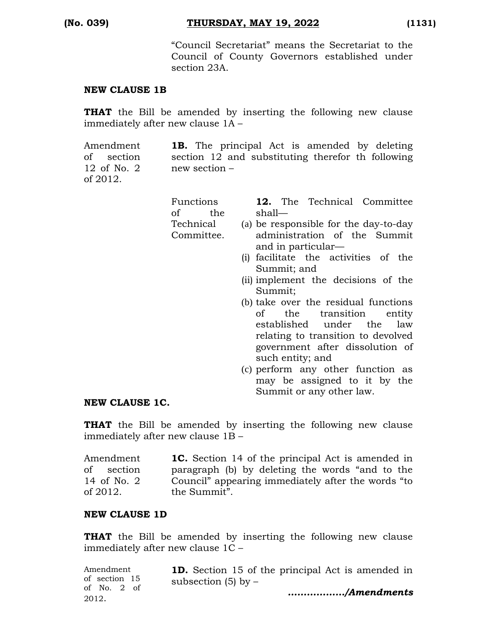"Council Secretariat" means the Secretariat to the Council of County Governors established under section 23A.

#### **NEW CLAUSE 1B**

**THAT** the Bill be amended by inserting the following new clause immediately after new clause 1A –

Amendment of section 12 of No. 2 of 2012. **1B.** The principal Act is amended by deleting section 12 and substituting therefor th following new section –

| Functions  |     |                              |                    |  | <b>12.</b> The Technical Committee    |  |  |  |
|------------|-----|------------------------------|--------------------|--|---------------------------------------|--|--|--|
| of         | the | shall—                       |                    |  |                                       |  |  |  |
| Technical  |     |                              |                    |  | (a) be responsible for the day-to-day |  |  |  |
| Committee. |     | administration of the Summit |                    |  |                                       |  |  |  |
|            |     |                              | and in particular— |  |                                       |  |  |  |
|            |     |                              |                    |  | (i) facilitate the activities of the  |  |  |  |

- Summit; and (ii) implement the decisions of the Summit;
- (b) take over the residual functions of the transition entity established under the law relating to transition to devolved government after dissolution of such entity; and
- (c) perform any other function as may be assigned to it by the Summit or any other law.

#### **NEW CLAUSE 1C.**

**THAT** the Bill be amended by inserting the following new clause immediately after new clause 1B –

Amendment of section 14 of No. 2 of 2012. **1C.** Section 14 of the principal Act is amended in paragraph (b) by deleting the words "and to the Council" appearing immediately after the words "to the Summit".

#### **NEW CLAUSE 1D**

**THAT** the Bill be amended by inserting the following new clause immediately after new clause 1C –

| Amendment     | <b>1D.</b> Section 15 of the principal Act is amended in |
|---------------|----------------------------------------------------------|
| of section 15 | subsection $(5)$ by $-$                                  |
| of No. $2$ of | /Amendments                                              |
| 2012.         |                                                          |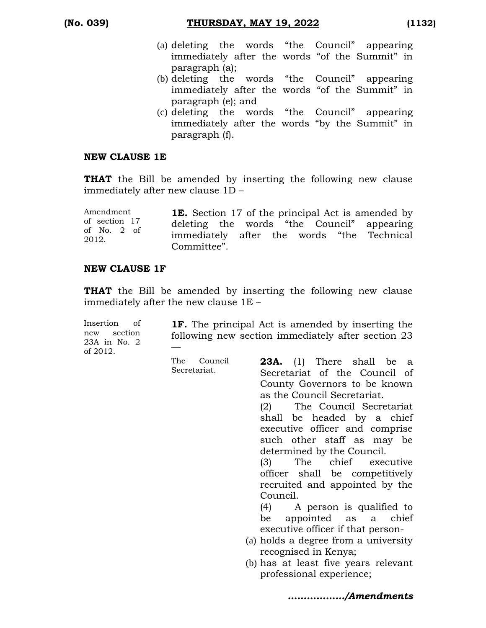- (a) deleting the words "the Council" appearing immediately after the words "of the Summit" in paragraph (a);
- (b) deleting the words "the Council" appearing immediately after the words "of the Summit" in paragraph (e); and
- (c) deleting the words "the Council" appearing immediately after the words "by the Summit" in paragraph (f).

#### **NEW CLAUSE 1E**

**THAT** the Bill be amended by inserting the following new clause immediately after new clause 1D –

| Amendment              | <b>1E.</b> Section 17 of the principal Act is amended by |  |
|------------------------|----------------------------------------------------------|--|
| of section 17          | deleting the words "the Council" appearing               |  |
| of No. $2$ of<br>2012. | immediately after the words "the Technical               |  |
|                        | Committee".                                              |  |

### **NEW CLAUSE 1F**

**THAT** the Bill be amended by inserting the following new clause immediately after the new clause 1E –

Insertion of new section 23A in No. 2 of 2012.

**1F.** The principal Act is amended by inserting the following new section immediately after section 23 —

The Council Secretariat.

**23A.** (1) There shall be a Secretariat of the Council of County Governors to be known as the Council Secretariat. (2) The Council Secretariat

shall be headed by a chief executive officer and comprise such other staff as may be determined by the Council.

(3) The chief executive officer shall be competitively recruited and appointed by the Council.

(4) A person is qualified to be appointed as a chief executive officer if that person-

- (a) holds a degree from a university recognised in Kenya;
- (b) has at least five years relevant professional experience;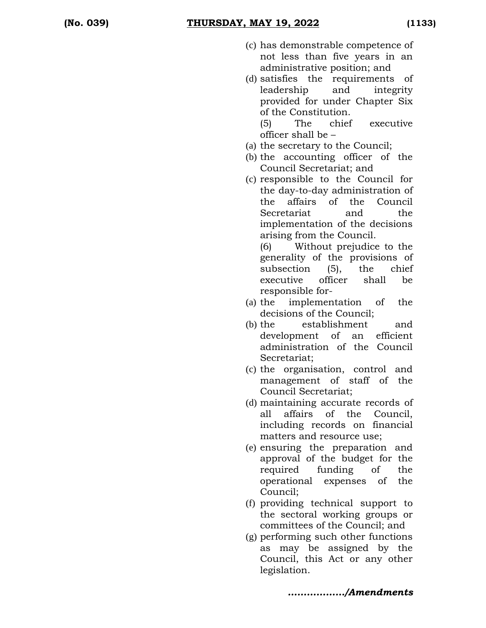- (c) has demonstrable competence of not less than five years in an administrative position; and
- (d) satisfies the requirements of leadership and integrity provided for under Chapter Six of the Constitution.

(5) The chief executive officer shall be –

- (a) the secretary to the Council;
- (b) the accounting officer of the Council Secretariat; and
- (c) responsible to the Council for the day-to-day administration of the affairs of the Council Secretariat and the implementation of the decisions arising from the Council.

(6) Without prejudice to the generality of the provisions of subsection (5), the chief executive officer shall be responsible for-

- (a) the implementation of the decisions of the Council;
- (b) the establishment and development of an efficient administration of the Council Secretariat;
- (c) the organisation, control and management of staff of the Council Secretariat;
- (d) maintaining accurate records of all affairs of the Council, including records on financial matters and resource use;
- (e) ensuring the preparation and approval of the budget for the required funding of the operational expenses of the Council;
- (f) providing technical support to the sectoral working groups or committees of the Council; and
- (g) performing such other functions as may be assigned by the Council, this Act or any other legislation.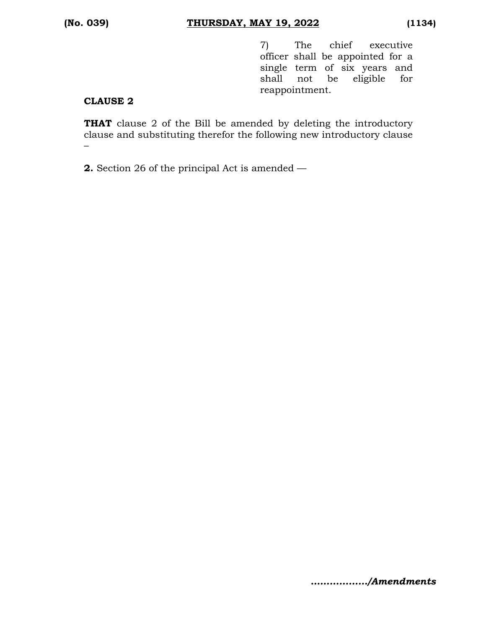7) The chief executive officer shall be appointed for a single term of six years and shall not be eligible for reappointment.

### **CLAUSE 2**

**THAT** clause 2 of the Bill be amended by deleting the introductory clause and substituting therefor the following new introductory clause –

**2.** Section 26 of the principal Act is amended —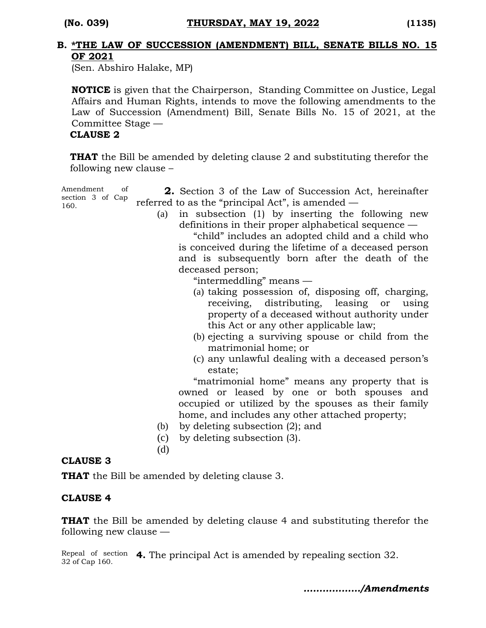#### **B. \*THE LAW OF SUCCESSION (AMENDMENT) BILL, SENATE BILLS NO. 15 OF 2021**

(Sen. Abshiro Halake, MP)

**NOTICE** is given that the Chairperson, Standing Committee on Justice, Legal Affairs and Human Rights, intends to move the following amendments to the Law of Succession (Amendment) Bill, Senate Bills No. 15 of 2021, at the Committee Stage —

#### **CLAUSE 2**

**THAT** the Bill be amended by deleting clause 2 and substituting therefor the following new clause –

Amendment of section 3 of Cap 160.

- **2.** Section 3 of the Law of Succession Act, hereinafter referred to as the "principal Act", is amended —
	- (a) in subsection (1) by inserting the following new definitions in their proper alphabetical sequence —

"child" includes an adopted child and a child who is conceived during the lifetime of a deceased person and is subsequently born after the death of the deceased person;

"intermeddling" means —

- (a) taking possession of, disposing off, charging, receiving, distributing, leasing or using property of a deceased without authority under this Act or any other applicable law;
- (b) ejecting a surviving spouse or child from the matrimonial home; or
- (c) any unlawful dealing with a deceased person's estate;

"matrimonial home" means any property that is owned or leased by one or both spouses and occupied or utilized by the spouses as their family home, and includes any other attached property;

- (b) by deleting subsection (2); and
- (c) by deleting subsection (3).

(d)

#### **CLAUSE 3**

**THAT** the Bill be amended by deleting clause 3.

#### **CLAUSE 4**

**THAT** the Bill be amended by deleting clause 4 and substituting therefor the following new clause —

Repeal of section **4.** The principal Act is amended by repealing section 32. 32 of Cap 160.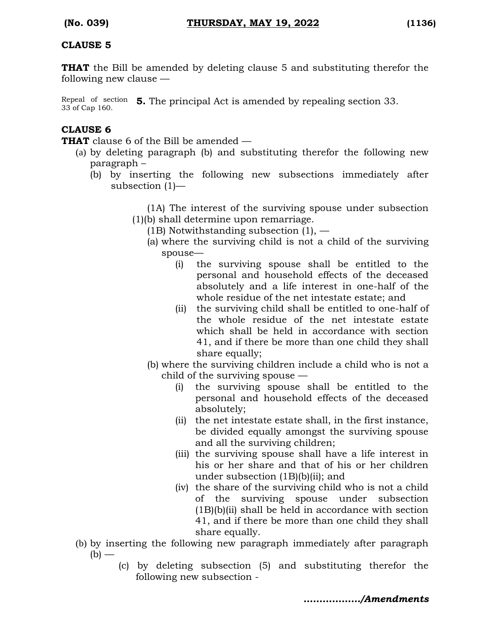#### **CLAUSE 5**

**THAT** the Bill be amended by deleting clause 5 and substituting therefor the following new clause —

Repeal of section **5.** The principal Act is amended by repealing section 33. 33 of Cap 160.

# **CLAUSE 6**

**THAT** clause 6 of the Bill be amended —

- (a) by deleting paragraph (b) and substituting therefor the following new paragraph –
	- (b) by inserting the following new subsections immediately after subsection (1)—

(1A) The interest of the surviving spouse under subsection (1)(b) shall determine upon remarriage.

- (1B) Notwithstanding subsection  $(1)$ ,  $-$ 
	- (a) where the surviving child is not a child of the surviving spouse—
		- (i) the surviving spouse shall be entitled to the personal and household effects of the deceased absolutely and a life interest in one-half of the whole residue of the net intestate estate; and
		- (ii) the surviving child shall be entitled to one-half of the whole residue of the net intestate estate which shall be held in accordance with section 41, and if there be more than one child they shall share equally;
	- (b) where the surviving children include a child who is not a child of the surviving spouse —
		- (i) the surviving spouse shall be entitled to the personal and household effects of the deceased absolutely;
		- (ii) the net intestate estate shall, in the first instance, be divided equally amongst the surviving spouse and all the surviving children;
		- (iii) the surviving spouse shall have a life interest in his or her share and that of his or her children under subsection (1B)(b)(ii); and
		- (iv) the share of the surviving child who is not a child of the surviving spouse under subsection  $(1B)(b)(ii)$  shall be held in accordance with section 41, and if there be more than one child they shall share equally.
- (b) by inserting the following new paragraph immediately after paragraph  $(b)$  —
	- (c) by deleting subsection (5) and substituting therefor the following new subsection -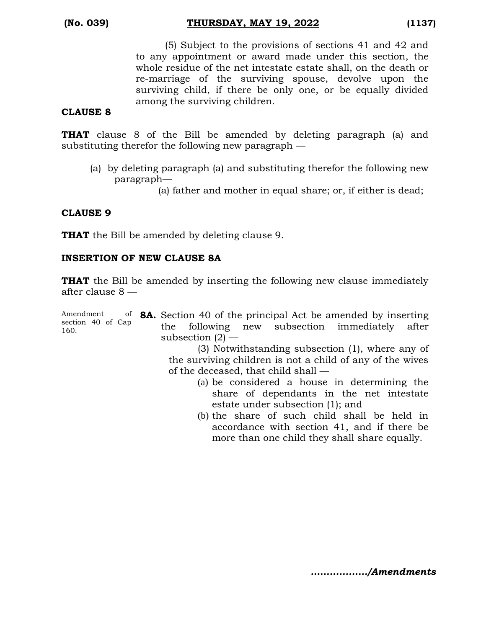(5) Subject to the provisions of sections 41 and 42 and to any appointment or award made under this section, the whole residue of the net intestate estate shall, on the death or re-marriage of the surviving spouse, devolve upon the surviving child, if there be only one, or be equally divided among the surviving children.

#### **CLAUSE 8**

**THAT** clause 8 of the Bill be amended by deleting paragraph (a) and substituting therefor the following new paragraph —

(a) by deleting paragraph (a) and substituting therefor the following new paragraph—

(a) father and mother in equal share; or, if either is dead;

# **CLAUSE 9**

**THAT** the Bill be amended by deleting clause 9.

### **INSERTION OF NEW CLAUSE 8A**

**THAT** the Bill be amended by inserting the following new clause immediately after clause 8 —

Amendment section 40 of Cap 160. **8A.** Section 40 of the principal Act be amended by inserting the following new subsection immediately after subsection  $(2)$  —

(3) Notwithstanding subsection (1), where any of the surviving children is not a child of any of the wives of the deceased, that child shall —

- (a) be considered a house in determining the share of dependants in the net intestate estate under subsection (1); and
- (b) the share of such child shall be held in accordance with section 41, and if there be more than one child they shall share equally.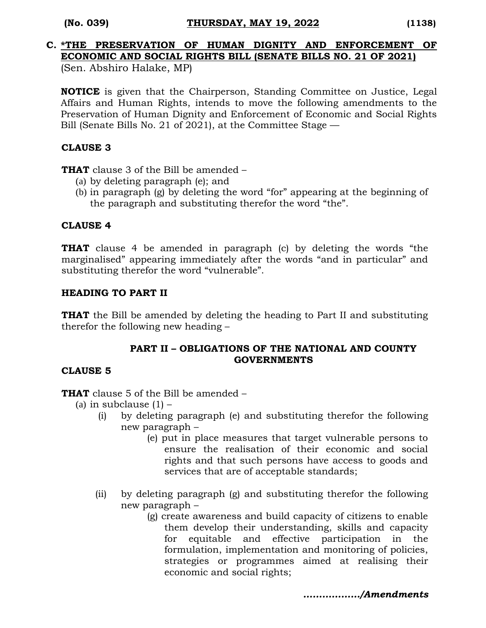#### **(No. 039) THURSDAY, MAY 19, 2022 (1138)**

# **C. \*THE PRESERVATION OF HUMAN DIGNITY AND ENFORCEMENT OF ECONOMIC AND SOCIAL RIGHTS BILL (SENATE BILLS NO. 21 OF 2021)**

(Sen. Abshiro Halake, MP)

**NOTICE** is given that the Chairperson, Standing Committee on Justice, Legal Affairs and Human Rights, intends to move the following amendments to the Preservation of Human Dignity and Enforcement of Economic and Social Rights Bill (Senate Bills No. 21 of 2021), at the Committee Stage —

### **CLAUSE 3**

**THAT** clause 3 of the Bill be amended –

- (a) by deleting paragraph (e); and
- (b) in paragraph (g) by deleting the word "for" appearing at the beginning of the paragraph and substituting therefor the word "the".

#### **CLAUSE 4**

**THAT** clause 4 be amended in paragraph (c) by deleting the words "the marginalised" appearing immediately after the words "and in particular" and substituting therefor the word "vulnerable".

### **HEADING TO PART II**

**THAT** the Bill be amended by deleting the heading to Part II and substituting therefor the following new heading –

### **PART II – OBLIGATIONS OF THE NATIONAL AND COUNTY GOVERNMENTS**

# **CLAUSE 5**

**THAT** clause 5 of the Bill be amended –

- (a) in subclause  $(1)$ 
	- (i) by deleting paragraph (e) and substituting therefor the following new paragraph –
		- (e) put in place measures that target vulnerable persons to ensure the realisation of their economic and social rights and that such persons have access to goods and services that are of acceptable standards;
	- (ii) by deleting paragraph (g) and substituting therefor the following new paragraph –
		- (g) create awareness and build capacity of citizens to enable them develop their understanding, skills and capacity for equitable and effective participation in the formulation, implementation and monitoring of policies, strategies or programmes aimed at realising their economic and social rights;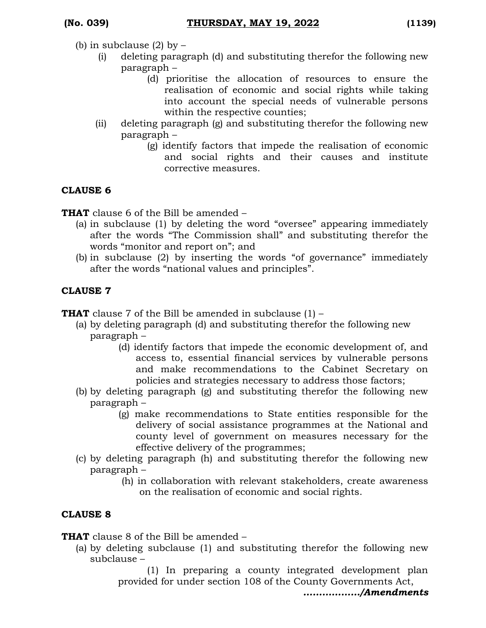- (b) in subclause  $(2)$  by  $-$ 
	- (i) deleting paragraph (d) and substituting therefor the following new paragraph –
		- (d) prioritise the allocation of resources to ensure the realisation of economic and social rights while taking into account the special needs of vulnerable persons within the respective counties;
	- (ii) deleting paragraph (g) and substituting therefor the following new paragraph –
		- (g) identify factors that impede the realisation of economic and social rights and their causes and institute corrective measures.

# **CLAUSE 6**

**THAT** clause 6 of the Bill be amended –

- (a) in subclause (1) by deleting the word "oversee" appearing immediately after the words "The Commission shall" and substituting therefor the words "monitor and report on"; and
- (b) in subclause (2) by inserting the words "of governance" immediately after the words "national values and principles".

# **CLAUSE 7**

**THAT** clause 7 of the Bill be amended in subclause (1) –

- (a) by deleting paragraph (d) and substituting therefor the following new paragraph –
	- (d) identify factors that impede the economic development of, and access to, essential financial services by vulnerable persons and make recommendations to the Cabinet Secretary on policies and strategies necessary to address those factors;
- (b) by deleting paragraph (g) and substituting therefor the following new paragraph –
	- (g) make recommendations to State entities responsible for the delivery of social assistance programmes at the National and county level of government on measures necessary for the effective delivery of the programmes;
- (c) by deleting paragraph (h) and substituting therefor the following new paragraph –
	- (h) in collaboration with relevant stakeholders, create awareness on the realisation of economic and social rights.

# **CLAUSE 8**

**THAT** clause 8 of the Bill be amended –

(a) by deleting subclause (1) and substituting therefor the following new subclause –

(1) In preparing a county integrated development plan provided for under section 108 of the County Governments Act,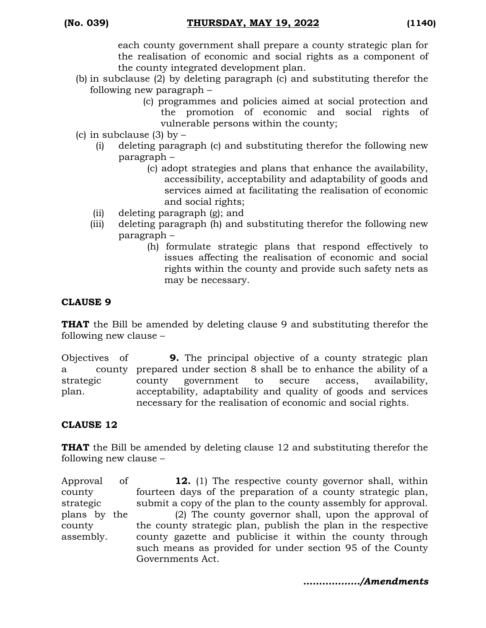each county government shall prepare a county strategic plan for the realisation of economic and social rights as a component of the county integrated development plan.

- (b) in subclause (2) by deleting paragraph (c) and substituting therefor the following new paragraph –
	- (c) programmes and policies aimed at social protection and the promotion of economic and social rights of vulnerable persons within the county;
- (c) in subclause  $(3)$  by  $-$ 
	- (i) deleting paragraph (c) and substituting therefor the following new paragraph –
		- (c) adopt strategies and plans that enhance the availability, accessibility, acceptability and adaptability of goods and services aimed at facilitating the realisation of economic and social rights;
	- (ii) deleting paragraph (g); and
	- (iii) deleting paragraph (h) and substituting therefor the following new paragraph –
		- (h) formulate strategic plans that respond effectively to issues affecting the realisation of economic and social rights within the county and provide such safety nets as may be necessary.

# **CLAUSE 9**

**THAT** the Bill be amended by deleting clause 9 and substituting therefor the following new clause –

Objectives of a county prepared under section 8 shall be to enhance the ability of a strategic plan. **9.** The principal objective of a county strategic plan county government to secure access, availability, acceptability, adaptability and quality of goods and services necessary for the realisation of economic and social rights.

# **CLAUSE 12**

**THAT** the Bill be amended by deleting clause 12 and substituting therefor the following new clause –

Approval of county strategic plans by the county assembly. **12.** (1) The respective county governor shall, within fourteen days of the preparation of a county strategic plan, submit a copy of the plan to the county assembly for approval. (2) The county governor shall, upon the approval of the county strategic plan, publish the plan in the respective county gazette and publicise it within the county through such means as provided for under section 95 of the County Governments Act.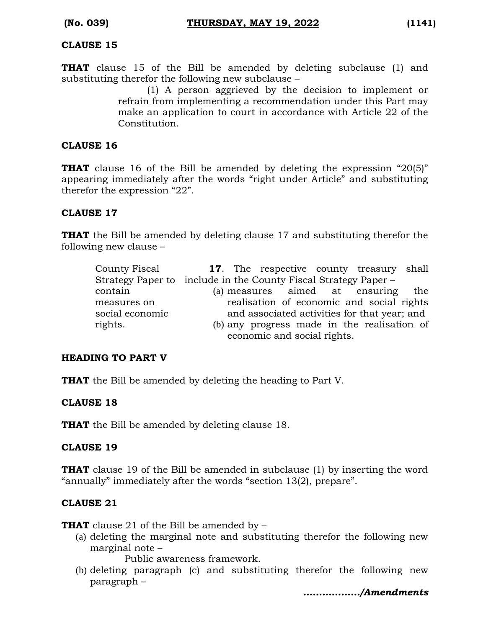#### **CLAUSE 15**

**THAT** clause 15 of the Bill be amended by deleting subclause (1) and substituting therefor the following new subclause –

(1) A person aggrieved by the decision to implement or refrain from implementing a recommendation under this Part may make an application to court in accordance with Article 22 of the Constitution.

#### **CLAUSE 16**

**THAT** clause 16 of the Bill be amended by deleting the expression "20(5)" appearing immediately after the words "right under Article" and substituting therefor the expression "22".

#### **CLAUSE 17**

**THAT** the Bill be amended by deleting clause 17 and substituting therefor the following new clause –

| County Fiscal   | <b>17.</b> The respective county treasury shall                 |
|-----------------|-----------------------------------------------------------------|
|                 | Strategy Paper to include in the County Fiscal Strategy Paper – |
| contain         | (a) measures aimed at ensuring the                              |
| measures on     | realisation of economic and social rights                       |
| social economic | and associated activities for that year; and                    |
| rights.         | (b) any progress made in the realisation of                     |
|                 | economic and social rights.                                     |

#### **HEADING TO PART V**

**THAT** the Bill be amended by deleting the heading to Part V.

#### **CLAUSE 18**

**THAT** the Bill be amended by deleting clause 18.

#### **CLAUSE 19**

**THAT** clause 19 of the Bill be amended in subclause (1) by inserting the word "annually" immediately after the words "section 13(2), prepare".

#### **CLAUSE 21**

**THAT** clause 21 of the Bill be amended by –

(a) deleting the marginal note and substituting therefor the following new marginal note –

Public awareness framework.

(b) deleting paragraph (c) and substituting therefor the following new paragraph –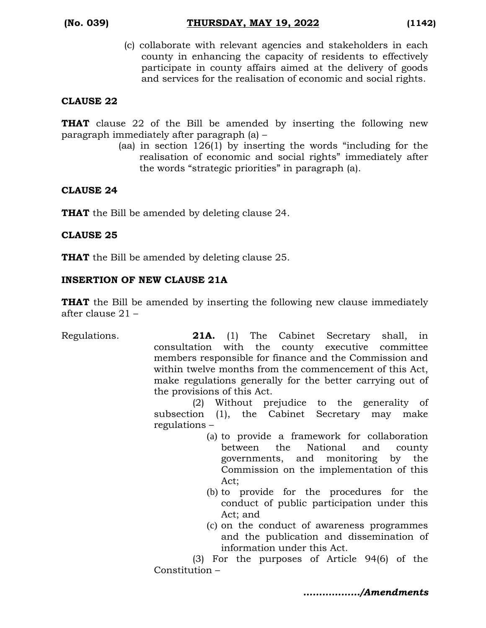(c) collaborate with relevant agencies and stakeholders in each county in enhancing the capacity of residents to effectively participate in county affairs aimed at the delivery of goods and services for the realisation of economic and social rights.

#### **CLAUSE 22**

**THAT** clause 22 of the Bill be amended by inserting the following new paragraph immediately after paragraph (a) –

(aa) in section 126(1) by inserting the words "including for the realisation of economic and social rights" immediately after the words "strategic priorities" in paragraph (a).

### **CLAUSE 24**

**THAT** the Bill be amended by deleting clause 24.

### **CLAUSE 25**

**THAT** the Bill be amended by deleting clause 25.

### **INSERTION OF NEW CLAUSE 21A**

**THAT** the Bill be amended by inserting the following new clause immediately after clause 21 –

Regulations. **21A.** (1) The Cabinet Secretary shall, in consultation with the county executive committee members responsible for finance and the Commission and within twelve months from the commencement of this Act, make regulations generally for the better carrying out of the provisions of this Act. (2) Without prejudice to the generality of

subsection (1), the Cabinet Secretary may make regulations –

- (a) to provide a framework for collaboration between the National and county governments, and monitoring by the Commission on the implementation of this Act;
- (b) to provide for the procedures for the conduct of public participation under this Act; and
- (c) on the conduct of awareness programmes and the publication and dissemination of information under this Act.

(3) For the purposes of Article 94(6) of the Constitution –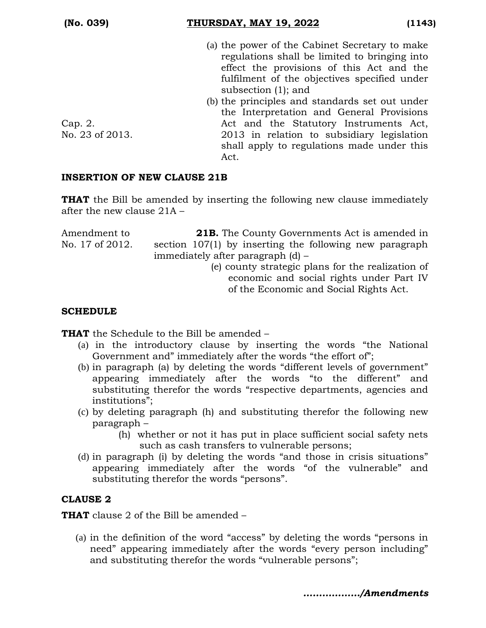#### **(No. 039) THURSDAY, MAY 19, 2022 (1143)**

- (a) the power of the Cabinet Secretary to make regulations shall be limited to bringing into effect the provisions of this Act and the fulfilment of the objectives specified under subsection (1); and
- (b) the principles and standards set out under the Interpretation and General Provisions Act and the Statutory Instruments Act, 2013 in relation to subsidiary legislation shall apply to regulations made under this Act.

Cap. 2. No. 23 of 2013.

### **INSERTION OF NEW CLAUSE 21B**

**THAT** the Bill be amended by inserting the following new clause immediately after the new clause 21A –

Amendment to No. 17 of 2012. **21B.** The County Governments Act is amended in section 107(1) by inserting the following new paragraph immediately after paragraph (d) – (e) county strategic plans for the realization of economic and social rights under Part IV

of the Economic and Social Rights Act.

### **SCHEDULE**

**THAT** the Schedule to the Bill be amended –

- (a) in the introductory clause by inserting the words "the National Government and" immediately after the words "the effort of";
- (b) in paragraph (a) by deleting the words "different levels of government" appearing immediately after the words "to the different" and substituting therefor the words "respective departments, agencies and institutions";
- (c) by deleting paragraph (h) and substituting therefor the following new paragraph –
	- (h) whether or not it has put in place sufficient social safety nets such as cash transfers to vulnerable persons;
- (d) in paragraph (i) by deleting the words "and those in crisis situations" appearing immediately after the words "of the vulnerable" and substituting therefor the words "persons".

# **CLAUSE 2**

**THAT** clause 2 of the Bill be amended –

(a) in the definition of the word "access" by deleting the words "persons in need" appearing immediately after the words "every person including" and substituting therefor the words "vulnerable persons";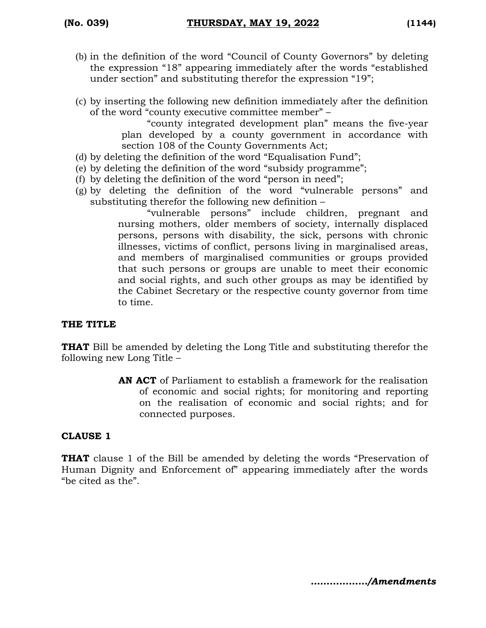- (b) in the definition of the word "Council of County Governors" by deleting the expression "18" appearing immediately after the words "established under section" and substituting therefor the expression "19";
- (c) by inserting the following new definition immediately after the definition of the word "county executive committee member" –

"county integrated development plan" means the five-year plan developed by a county government in accordance with section 108 of the County Governments Act;

- (d) by deleting the definition of the word "Equalisation Fund";
- (e) by deleting the definition of the word "subsidy programme";
- (f) by deleting the definition of the word "person in need";
- (g) by deleting the definition of the word "vulnerable persons" and substituting therefor the following new definition –

"vulnerable persons" include children, pregnant and nursing mothers, older members of society, internally displaced persons, persons with disability, the sick, persons with chronic illnesses, victims of conflict, persons living in marginalised areas, and members of marginalised communities or groups provided that such persons or groups are unable to meet their economic and social rights, and such other groups as may be identified by the Cabinet Secretary or the respective county governor from time to time.

#### **THE TITLE**

**THAT** Bill be amended by deleting the Long Title and substituting therefor the following new Long Title –

> **AN ACT** of Parliament to establish a framework for the realisation of economic and social rights; for monitoring and reporting on the realisation of economic and social rights; and for connected purposes.

#### **CLAUSE 1**

**THAT** clause 1 of the Bill be amended by deleting the words "Preservation of Human Dignity and Enforcement of" appearing immediately after the words "be cited as the".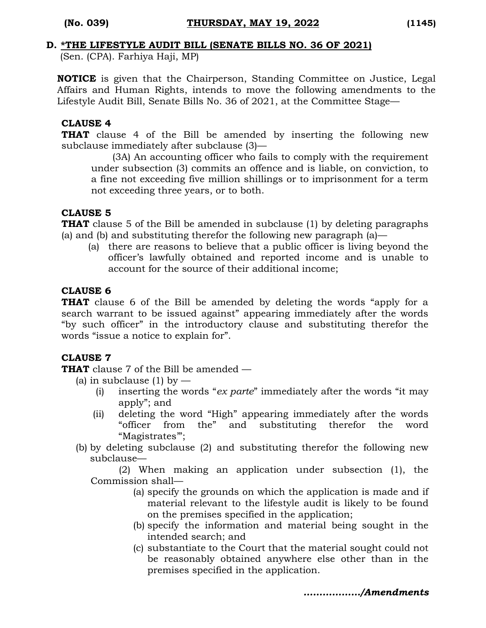#### **D. \*THE LIFESTYLE AUDIT BILL (SENATE BILLS NO. 36 OF 2021)**

(Sen. (CPA). Farhiya Haji, MP)

**NOTICE** is given that the Chairperson, Standing Committee on Justice, Legal Affairs and Human Rights, intends to move the following amendments to the Lifestyle Audit Bill, Senate Bills No. 36 of 2021, at the Committee Stage—

#### **CLAUSE 4**

**THAT** clause 4 of the Bill be amended by inserting the following new subclause immediately after subclause (3)—

(3A) An accounting officer who fails to comply with the requirement under subsection (3) commits an offence and is liable, on conviction, to a fine not exceeding five million shillings or to imprisonment for a term not exceeding three years, or to both.

#### **CLAUSE 5**

**THAT** clause 5 of the Bill be amended in subclause (1) by deleting paragraphs (a) and (b) and substituting therefor the following new paragraph (a)—

(a) there are reasons to believe that a public officer is living beyond the officer's lawfully obtained and reported income and is unable to account for the source of their additional income;

### **CLAUSE 6**

**THAT** clause 6 of the Bill be amended by deleting the words "apply for a search warrant to be issued against" appearing immediately after the words "by such officer" in the introductory clause and substituting therefor the words "issue a notice to explain for".

# **CLAUSE 7**

**THAT** clause 7 of the Bill be amended —

- (a) in subclause (1) by  $-$ 
	- (i) inserting the words "*ex parte*" immediately after the words "it may apply"; and
	- (ii) deleting the word "High" appearing immediately after the words "officer from the" and substituting therefor the word "Magistrates'";
- (b) by deleting subclause (2) and substituting therefor the following new subclause—

(2) When making an application under subsection (1), the Commission shall—

- (a) specify the grounds on which the application is made and if material relevant to the lifestyle audit is likely to be found on the premises specified in the application;
- (b) specify the information and material being sought in the intended search; and
- (c) substantiate to the Court that the material sought could not be reasonably obtained anywhere else other than in the premises specified in the application.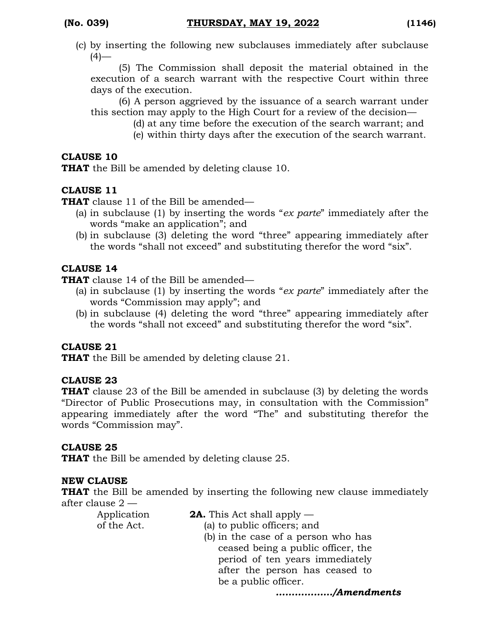(c) by inserting the following new subclauses immediately after subclause  $(4)$ —

(5) The Commission shall deposit the material obtained in the execution of a search warrant with the respective Court within three days of the execution.

(6) A person aggrieved by the issuance of a search warrant under this section may apply to the High Court for a review of the decision—

- (d) at any time before the execution of the search warrant; and
- (e) within thirty days after the execution of the search warrant.

## **CLAUSE 10**

**THAT** the Bill be amended by deleting clause 10.

# **CLAUSE 11**

**THAT** clause 11 of the Bill be amended—

- (a) in subclause (1) by inserting the words "*ex parte*" immediately after the words "make an application"; and
- (b) in subclause (3) deleting the word "three" appearing immediately after the words "shall not exceed" and substituting therefor the word "six".

# **CLAUSE 14**

**THAT** clause 14 of the Bill be amended—

- (a) in subclause (1) by inserting the words "*ex parte*" immediately after the words "Commission may apply"; and
- (b) in subclause (4) deleting the word "three" appearing immediately after the words "shall not exceed" and substituting therefor the word "six".

# **CLAUSE 21**

**THAT** the Bill be amended by deleting clause 21.

# **CLAUSE 23**

**THAT** clause 23 of the Bill be amended in subclause (3) by deleting the words "Director of Public Prosecutions may, in consultation with the Commission" appearing immediately after the word "The" and substituting therefor the words "Commission may".

# **CLAUSE 25**

**THAT** the Bill be amended by deleting clause 25.

#### **NEW CLAUSE**

**THAT** the Bill be amended by inserting the following new clause immediately after clause 2 —

Application of the Act.

- **2A.** This Act shall apply
	- (a) to public officers; and
		- (b) in the case of a person who has ceased being a public officer, the period of ten years immediately after the person has ceased to be a public officer.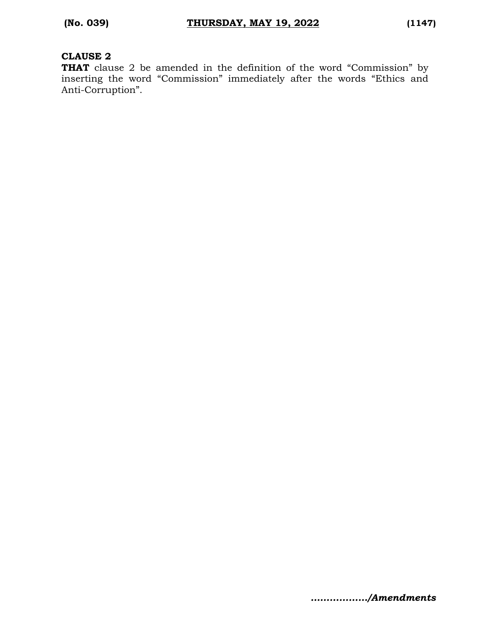#### **CLAUSE 2**

**THAT** clause 2 be amended in the definition of the word "Commission" by inserting the word "Commission" immediately after the words "Ethics and Anti-Corruption".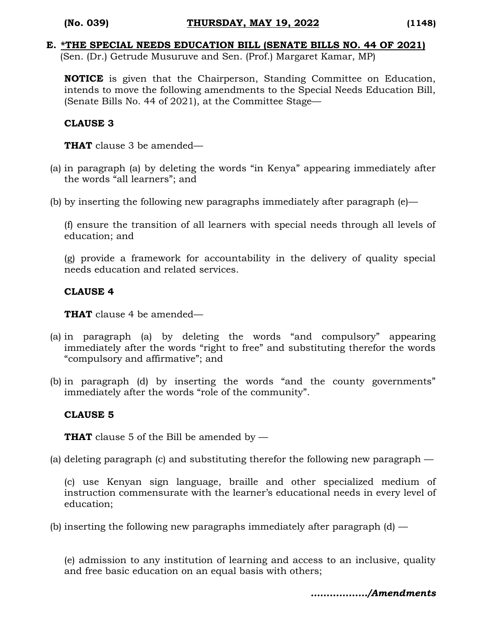# **E. \*THE SPECIAL NEEDS EDUCATION BILL (SENATE BILLS NO. 44 OF 2021)**

(Sen. (Dr.) Getrude Musuruve and Sen. (Prof.) Margaret Kamar, MP)

**NOTICE** is given that the Chairperson, Standing Committee on Education, intends to move the following amendments to the Special Needs Education Bill, (Senate Bills No. 44 of 2021), at the Committee Stage—

### **CLAUSE 3**

**THAT** clause 3 be amended—

- (a) in paragraph (a) by deleting the words "in Kenya" appearing immediately after the words "all learners"; and
- (b) by inserting the following new paragraphs immediately after paragraph  $(e)$ —

(f) ensure the transition of all learners with special needs through all levels of education; and

(g) provide a framework for accountability in the delivery of quality special needs education and related services.

### **CLAUSE 4**

**THAT** clause 4 be amended—

- (a) in paragraph (a) by deleting the words "and compulsory" appearing immediately after the words "right to free" and substituting therefor the words "compulsory and affirmative"; and
- (b) in paragraph (d) by inserting the words "and the county governments" immediately after the words "role of the community".

# **CLAUSE 5**

**THAT** clause 5 of the Bill be amended by —

(a) deleting paragraph (c) and substituting therefor the following new paragraph —

(c) use Kenyan sign language, braille and other specialized medium of instruction commensurate with the learner's educational needs in every level of education;

(b) inserting the following new paragraphs immediately after paragraph  $(d)$  —

(e) admission to any institution of learning and access to an inclusive, quality and free basic education on an equal basis with others;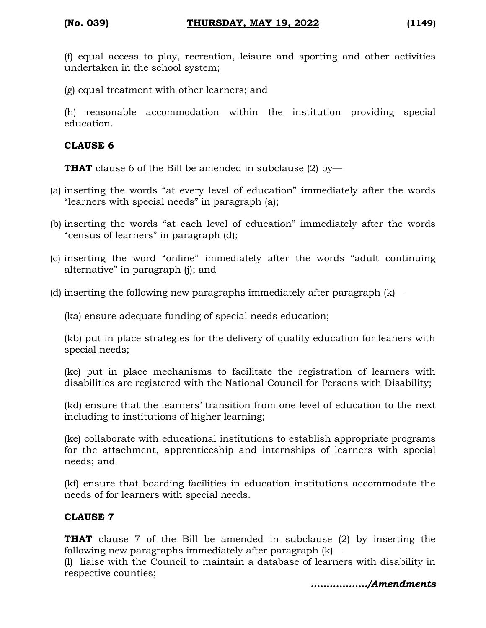(f) equal access to play, recreation, leisure and sporting and other activities undertaken in the school system;

(g) equal treatment with other learners; and

(h) reasonable accommodation within the institution providing special education.

## **CLAUSE 6**

**THAT** clause 6 of the Bill be amended in subclause (2) by-

- (a) inserting the words "at every level of education" immediately after the words "learners with special needs" in paragraph (a);
- (b) inserting the words "at each level of education" immediately after the words "census of learners" in paragraph (d);
- (c) inserting the word "online" immediately after the words "adult continuing alternative" in paragraph (j); and
- (d) inserting the following new paragraphs immediately after paragraph (k)—

(ka) ensure adequate funding of special needs education;

(kb) put in place strategies for the delivery of quality education for leaners with special needs;

(kc) put in place mechanisms to facilitate the registration of learners with disabilities are registered with the National Council for Persons with Disability;

(kd) ensure that the learners' transition from one level of education to the next including to institutions of higher learning;

(ke) collaborate with educational institutions to establish appropriate programs for the attachment, apprenticeship and internships of learners with special needs; and

(kf) ensure that boarding facilities in education institutions accommodate the needs of for learners with special needs.

# **CLAUSE 7**

**THAT** clause 7 of the Bill be amended in subclause (2) by inserting the following new paragraphs immediately after paragraph (k)—

(l) liaise with the Council to maintain a database of learners with disability in respective counties;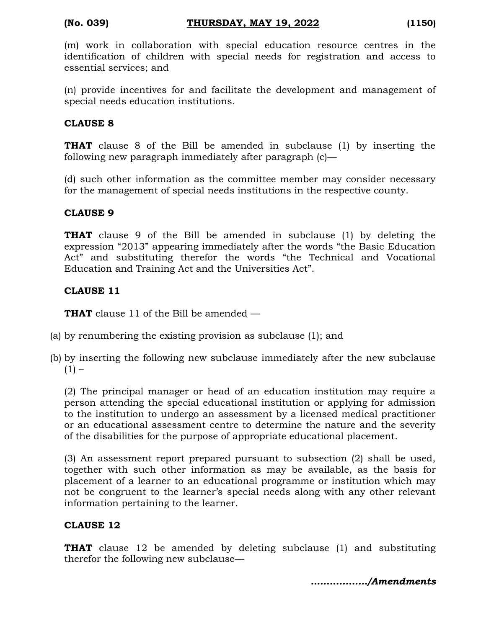(m) work in collaboration with special education resource centres in the identification of children with special needs for registration and access to essential services; and

(n) provide incentives for and facilitate the development and management of special needs education institutions.

#### **CLAUSE 8**

**THAT** clause 8 of the Bill be amended in subclause (1) by inserting the following new paragraph immediately after paragraph (c)—

(d) such other information as the committee member may consider necessary for the management of special needs institutions in the respective county.

#### **CLAUSE 9**

**THAT** clause 9 of the Bill be amended in subclause (1) by deleting the expression "2013" appearing immediately after the words "the Basic Education Act" and substituting therefor the words "the Technical and Vocational Education and Training Act and the Universities Act".

#### **CLAUSE 11**

**THAT** clause 11 of the Bill be amended —

- (a) by renumbering the existing provision as subclause (1); and
- (b) by inserting the following new subclause immediately after the new subclause  $(1) -$

(2) The principal manager or head of an education institution may require a person attending the special educational institution or applying for admission to the institution to undergo an assessment by a licensed medical practitioner or an educational assessment centre to determine the nature and the severity of the disabilities for the purpose of appropriate educational placement.

(3) An assessment report prepared pursuant to subsection (2) shall be used, together with such other information as may be available, as the basis for placement of a learner to an educational programme or institution which may not be congruent to the learner's special needs along with any other relevant information pertaining to the learner.

#### **CLAUSE 12**

**THAT** clause 12 be amended by deleting subclause (1) and substituting therefor the following new subclause—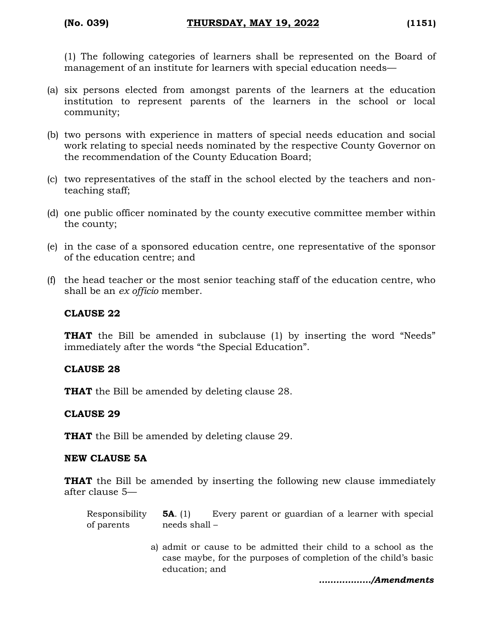(1) The following categories of learners shall be represented on the Board of management of an institute for learners with special education needs—

- (a) six persons elected from amongst parents of the learners at the education institution to represent parents of the learners in the school or local community;
- (b) two persons with experience in matters of special needs education and social work relating to special needs nominated by the respective County Governor on the recommendation of the County Education Board;
- (c) two representatives of the staff in the school elected by the teachers and nonteaching staff;
- (d) one public officer nominated by the county executive committee member within the county;
- (e) in the case of a sponsored education centre, one representative of the sponsor of the education centre; and
- (f) the head teacher or the most senior teaching staff of the education centre, who shall be an *ex officio* member.

#### **CLAUSE 22**

**THAT** the Bill be amended in subclause (1) by inserting the word "Needs" immediately after the words "the Special Education".

#### **CLAUSE 28**

**THAT** the Bill be amended by deleting clause 28.

#### **CLAUSE 29**

**THAT** the Bill be amended by deleting clause 29.

#### **NEW CLAUSE 5A**

**THAT** the Bill be amended by inserting the following new clause immediately after clause 5—

| Responsibility $5A$ . (1) |               |  | Every parent or guardian of a learner with special |  |  |
|---------------------------|---------------|--|----------------------------------------------------|--|--|
| of parents                | needs shall – |  |                                                    |  |  |

a) admit or cause to be admitted their child to a school as the case maybe, for the purposes of completion of the child's basic education; and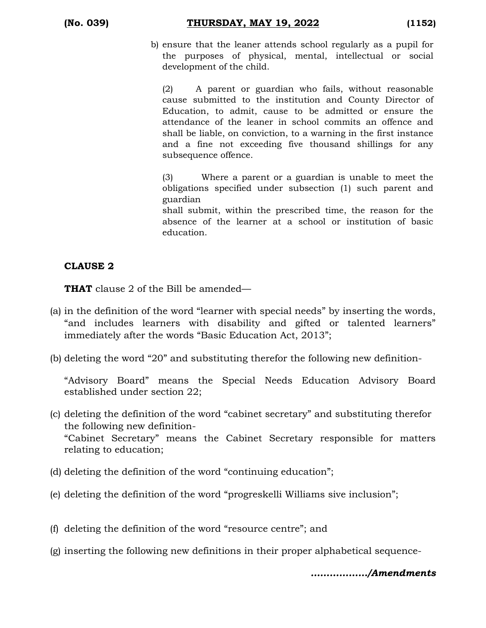(b) ensure that the leaner attends school regularly as a pupil for the purposes of physical, mental, intellectual or social development of the child.

(2) A parent or guardian who fails, without reasonable cause submitted to the institution and County Director of Education, to admit, cause to be admitted or ensure the attendance of the leaner in school commits an offence and shall be liable, on conviction, to a warning in the first instance and a fine not exceeding five thousand shillings for any subsequence offence.

(3) Where a parent or a guardian is unable to meet the obligations specified under subsection (1) such parent and guardian

shall submit, within the prescribed time, the reason for the absence of the learner at a school or institution of basic education.

# **CLAUSE 2**

**THAT** clause 2 of the Bill be amended—

- (a) in the definition of the word "learner with special needs" by inserting the words, "and includes learners with disability and gifted or talented learners" immediately after the words "Basic Education Act, 2013";
- (b) deleting the word "20" and substituting therefor the following new definition-

"Advisory Board" means the Special Needs Education Advisory Board established under section 22;

- (c) deleting the definition of the word "cabinet secretary" and substituting therefor the following new definition- "Cabinet Secretary" means the Cabinet Secretary responsible for matters relating to education;
- (d) deleting the definition of the word "continuing education";
- (e) deleting the definition of the word "progreskelli Williams sive inclusion";
- (f) deleting the definition of the word "resource centre"; and
- (g) inserting the following new definitions in their proper alphabetical sequence-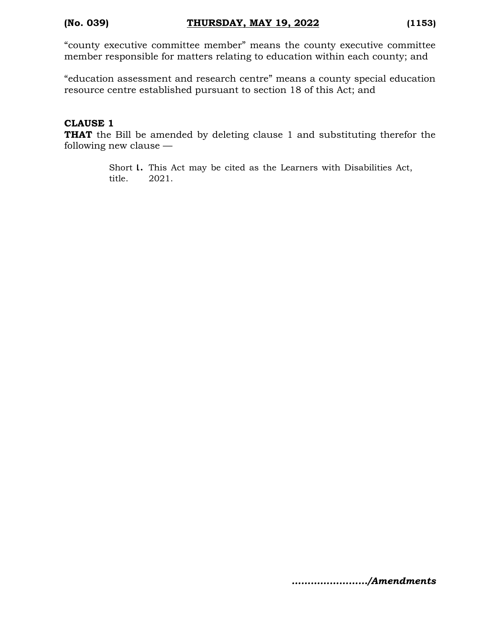"county executive committee member" means the county executive committee member responsible for matters relating to education within each county; and

"education assessment and research centre" means a county special education resource centre established pursuant to section 18 of this Act; and

#### **CLAUSE 1**

**THAT** the Bill be amended by deleting clause 1 and substituting therefor the following new clause —

> Short **1.** This Act may be cited as the Learners with Disabilities Act, title. 2021.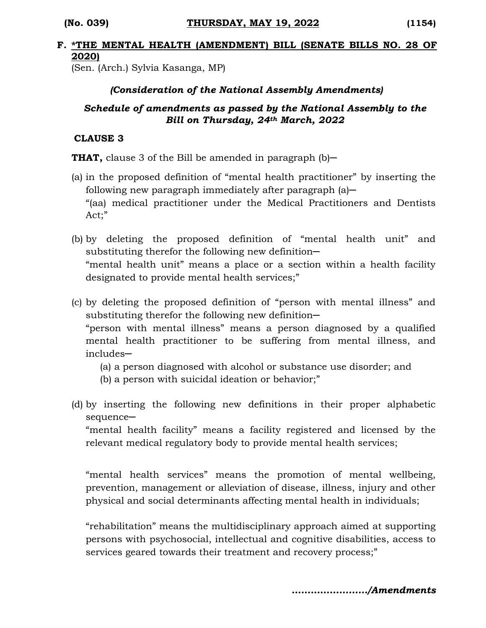#### **F. \*THE MENTAL HEALTH (AMENDMENT) BILL (SENATE BILLS NO. 28 OF 2020)**

(Sen. (Arch.) Sylvia Kasanga, MP)

## *(Consideration of the National Assembly Amendments)*

# *Schedule of amendments as passed by the National Assembly to the Bill on Thursday, 24th March, 2022*

#### **CLAUSE 3**

**THAT,** clause 3 of the Bill be amended in paragraph (b)—

- (a) in the proposed definition of "mental health practitioner" by inserting the following new paragraph immediately after paragraph  $(a)$ — "(aa) medical practitioner under the Medical Practitioners and Dentists Act;"
- (b) by deleting the proposed definition of "mental health unit" and substituting therefor the following new definition-"mental health unit" means a place or a section within a health facility designated to provide mental health services;"
- (c) by deleting the proposed definition of "person with mental illness" and substituting therefor the following new definition-"person with mental illness" means a person diagnosed by a qualified mental health practitioner to be suffering from mental illness, and includes─
	- (a) a person diagnosed with alcohol or substance use disorder; and
	- (b) a person with suicidal ideation or behavior;"
- (d) by inserting the following new definitions in their proper alphabetic sequence-

"mental health facility" means a facility registered and licensed by the relevant medical regulatory body to provide mental health services;

"mental health services" means the promotion of mental wellbeing, prevention, management or alleviation of disease, illness, injury and other physical and social determinants affecting mental health in individuals;

"rehabilitation" means the multidisciplinary approach aimed at supporting persons with psychosocial, intellectual and cognitive disabilities, access to services geared towards their treatment and recovery process;"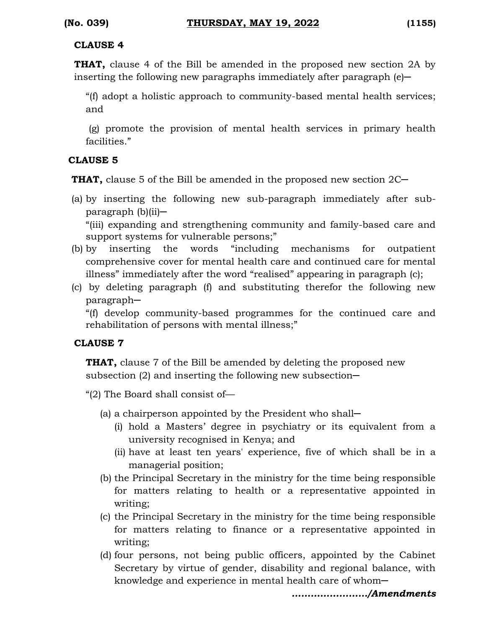## **CLAUSE 4**

**THAT,** clause 4 of the Bill be amended in the proposed new section 2A by inserting the following new paragraphs immediately after paragraph  $(e)$ —

"(f) adopt a holistic approach to community-based mental health services; and

(g) promote the provision of mental health services in primary health facilities."

# **CLAUSE 5**

**THAT,** clause 5 of the Bill be amended in the proposed new section 2C

- (a) by inserting the following new sub-paragraph immediately after sub- $\text{paragnh}$  (b)(ii)— "(iii) expanding and strengthening community and family-based care and support systems for vulnerable persons;"
- (b) by inserting the words "including mechanisms for outpatient comprehensive cover for mental health care and continued care for mental illness" immediately after the word "realised" appearing in paragraph (c);
- (c) by deleting paragraph (f) and substituting therefor the following new paragraph─

"(f) develop community-based programmes for the continued care and rehabilitation of persons with mental illness;"

# **CLAUSE 7**

**THAT,** clause 7 of the Bill be amended by deleting the proposed new subsection  $(2)$  and inserting the following new subsection-

"(2) The Board shall consist of—

- (a) a chairperson appointed by the President who shall─
	- (i) hold a Masters' degree in psychiatry or its equivalent from a university recognised in Kenya; and
	- (ii) have at least ten years' experience, five of which shall be in a managerial position;
- (b) the Principal Secretary in the ministry for the time being responsible for matters relating to health or a representative appointed in writing;
- (c) the Principal Secretary in the ministry for the time being responsible for matters relating to finance or a representative appointed in writing;
- (d) four persons, not being public officers, appointed by the Cabinet Secretary by virtue of gender, disability and regional balance, with knowledge and experience in mental health care of whom—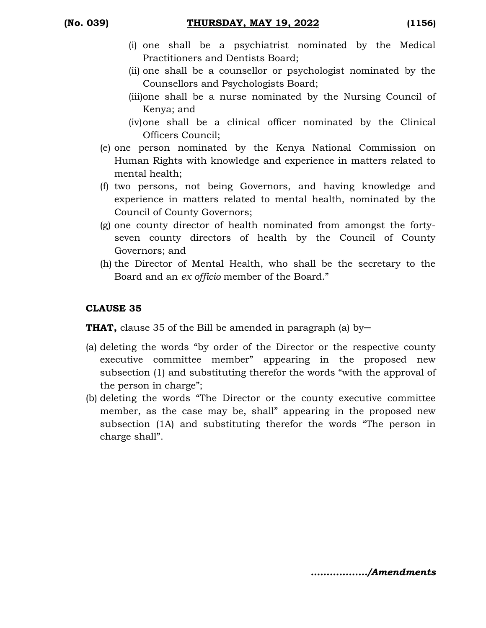- (i) one shall be a psychiatrist nominated by the Medical Practitioners and Dentists Board;
- (ii) one shall be a counsellor or psychologist nominated by the Counsellors and Psychologists Board;
- (iii)one shall be a nurse nominated by the Nursing Council of Kenya; and
- (iv)one shall be a clinical officer nominated by the Clinical Officers Council;
- (e) one person nominated by the Kenya National Commission on Human Rights with knowledge and experience in matters related to mental health;
- (f) two persons, not being Governors, and having knowledge and experience in matters related to mental health, nominated by the Council of County Governors;
- (g) one county director of health nominated from amongst the fortyseven county directors of health by the Council of County Governors; and
- (h) the Director of Mental Health, who shall be the secretary to the Board and an *ex officio* member of the Board."

# **CLAUSE 35**

**THAT,** clause 35 of the Bill be amended in paragraph (a) by-

- (a) deleting the words "by order of the Director or the respective county executive committee member" appearing in the proposed new subsection (1) and substituting therefor the words "with the approval of the person in charge";
- (b) deleting the words "The Director or the county executive committee member, as the case may be, shall" appearing in the proposed new subsection (1A) and substituting therefor the words "The person in charge shall".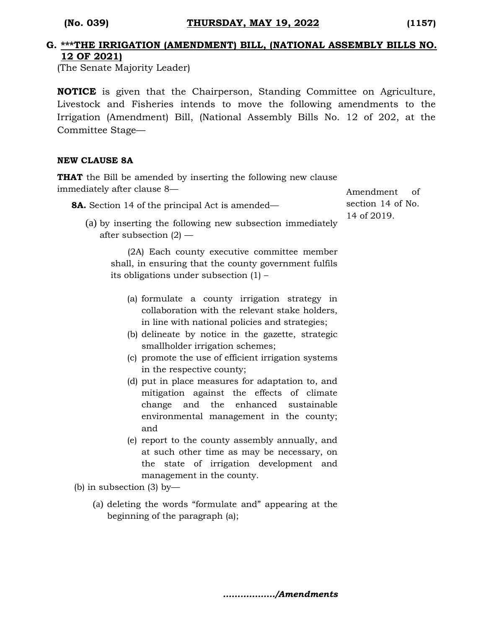#### **G. \*\*\*THE IRRIGATION (AMENDMENT) BILL, (NATIONAL ASSEMBLY BILLS NO. 12 OF 2021)**

(The Senate Majority Leader)

**NOTICE** is given that the Chairperson, Standing Committee on Agriculture, Livestock and Fisheries intends to move the following amendments to the Irrigation (Amendment) Bill, (National Assembly Bills No. 12 of 202, at the Committee Stage—

#### **NEW CLAUSE 8A**

**THAT** the Bill be amended by inserting the following new clause immediately after clause 8—

**8A.** Section 14 of the principal Act is amended—

(a) by inserting the following new subsection immediately after subsection (2) —

(2A) Each county executive committee member shall, in ensuring that the county government fulfils its obligations under subsection (1) –

- (a) formulate a county irrigation strategy in collaboration with the relevant stake holders, in line with national policies and strategies;
- (b) delineate by notice in the gazette, strategic smallholder irrigation schemes;
- (c) promote the use of efficient irrigation systems in the respective county;
- (d) put in place measures for adaptation to, and mitigation against the effects of climate change and the enhanced sustainable environmental management in the county; and
- (e) report to the county assembly annually, and at such other time as may be necessary, on the state of irrigation development and management in the county.

(b) in subsection (3) by—

(a) deleting the words "formulate and" appearing at the beginning of the paragraph (a);

Amendment of section 14 of No. 14 of 2019.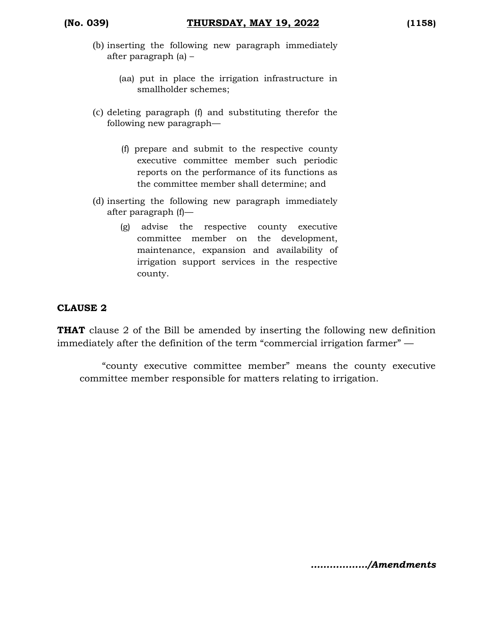- (b) inserting the following new paragraph immediately after paragraph (a) –
	- (aa) put in place the irrigation infrastructure in smallholder schemes;
- (c) deleting paragraph (f) and substituting therefor the following new paragraph—
	- (f) prepare and submit to the respective county executive committee member such periodic reports on the performance of its functions as the committee member shall determine; and
- (d) inserting the following new paragraph immediately after paragraph (f)—
	- (g) advise the respective county executive committee member on the development, maintenance, expansion and availability of irrigation support services in the respective county.

#### **CLAUSE 2**

**THAT** clause 2 of the Bill be amended by inserting the following new definition immediately after the definition of the term "commercial irrigation farmer" —

"county executive committee member" means the county executive committee member responsible for matters relating to irrigation.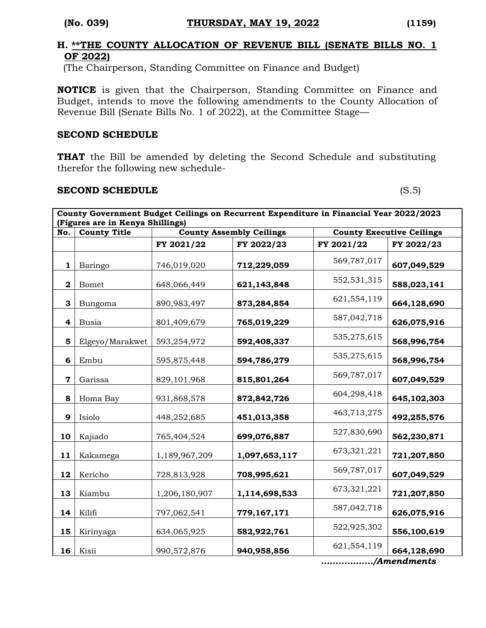#### **H. \*\*THE COUNTY ALLOCATION OF REVENUE BILL (SENATE BILLS NO. 1 OF 2022)**

(The Chairperson, Standing Committee on Finance and Budget)

**NOTICE** is given that the Chairperson, Standing Committee on Finance and Budget, intends to move the following amendments to the County Allocation of Revenue Bill (Senate Bills No. 1 of 2022), at the Committee Stage—

#### **SECOND SCHEDULE**

**THAT** the Bill be amended by deleting the Second Schedule and substituting therefor the following new schedule-

#### **SECOND SCHEDULE** (S.5)

| County Government Budget Ceilings on Recurrent Expenditure in Financial Year 2022/2023<br>(Figures are in Kenya Shillings) |                     |               |                                 |             |                                  |
|----------------------------------------------------------------------------------------------------------------------------|---------------------|---------------|---------------------------------|-------------|----------------------------------|
| No.                                                                                                                        | <b>County Title</b> |               | <b>County Assembly Ceilings</b> |             | <b>County Executive Ceilings</b> |
|                                                                                                                            |                     | FY 2021/22    | FY 2022/23                      | FY 2021/22  | FY 2022/23                       |
| 1                                                                                                                          | Baringo             | 746,019,020   | 712,229,059                     | 569,787,017 | 607,049,529                      |
| $\mathbf{2}$                                                                                                               | <b>Bomet</b>        | 648,066,449   | 621,143,848                     | 552,531,315 | 588,023,141                      |
| 3                                                                                                                          | Bungoma             | 890,983,497   | 873,284,854                     | 621,554,119 | 664,128,690                      |
| 4                                                                                                                          | <b>Busia</b>        | 801,409,679   | 765,019,229                     | 587,042,718 | 626,075,916                      |
| 5                                                                                                                          | Elgeyo/Marakwet     | 593,254,972   | 592,408,337                     | 535,275,615 | 568,996,754                      |
| 6                                                                                                                          | Embu                | 595,875,448   | 594,786,279                     | 535,275,615 | 568,996,754                      |
| $\mathbf 7$                                                                                                                | Garissa             | 829,101,968   | 815,801,264                     | 569,787,017 | 607,049,529                      |
| 8                                                                                                                          | Homa Bay            | 931,868,578   | 872,842,726                     | 604,298,418 | 645,102,303                      |
| 9                                                                                                                          | Isiolo              | 448,252,685   | 451,013,358                     | 463,713,275 | 492,255,576                      |
| 10                                                                                                                         | Kajiado             | 765,404,524   | 699,076,887                     | 527,830,690 | 562,230,871                      |
| 11                                                                                                                         | Kakamega            | 1,189,967,209 | 1,097,653,117                   | 673,321,221 | 721,207,850                      |
| 12                                                                                                                         | Kericho             | 728,813,928   | 708,995,621                     | 569,787,017 | 607,049,529                      |
| 13                                                                                                                         | Kiambu              | 1,206,180,907 | 1,114,698,533                   | 673,321,221 | 721,207,850                      |
| 14                                                                                                                         | Kilifi              | 797,062,541   | 779,167,171                     | 587,042,718 | 626,075,916                      |
| 15                                                                                                                         | Kirinyaga           | 634,065,925   | 582,922,761                     | 522,925,302 | 556,100,619                      |
| 16                                                                                                                         | Kisii               | 990,572,876   | 940,958,856                     | 621,554,119 | 664,128,690                      |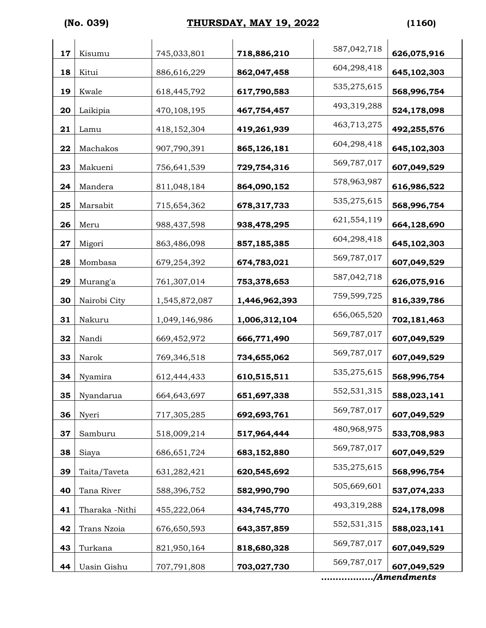# **(No. 039) THURSDAY, MAY 19, 2022 (1160)**

| 17 | Kisumu         | 745,033,801   | 718,886,210   | 587,042,718 | 626,075,916                |
|----|----------------|---------------|---------------|-------------|----------------------------|
| 18 | Kitui          | 886,616,229   | 862,047,458   | 604,298,418 | 645,102,303                |
| 19 | Kwale          | 618,445,792   | 617,790,583   | 535,275,615 | 568,996,754                |
| 20 | Laikipia       | 470,108,195   | 467,754,457   | 493,319,288 | 524,178,098                |
| 21 | Lamu           | 418,152,304   | 419,261,939   | 463,713,275 | 492,255,576                |
| 22 | Machakos       | 907,790,391   | 865,126,181   | 604,298,418 | 645,102,303                |
| 23 | Makueni        | 756,641,539   | 729,754,316   | 569,787,017 | 607,049,529                |
| 24 | Mandera        | 811,048,184   | 864,090,152   | 578,963,987 | 616,986,522                |
| 25 | Marsabit       | 715,654,362   | 678,317,733   | 535,275,615 | 568,996,754                |
| 26 | Meru           | 988,437,598   | 938,478,295   | 621,554,119 | 664,128,690                |
| 27 | Migori         | 863,486,098   | 857,185,385   | 604,298,418 | 645,102,303                |
| 28 | Mombasa        | 679,254,392   | 674,783,021   | 569,787,017 | 607,049,529                |
| 29 | Murang'a       | 761,307,014   | 753,378,653   | 587,042,718 | 626,075,916                |
| 30 | Nairobi City   | 1,545,872,087 | 1,446,962,393 | 759,599,725 | 816,339,786                |
| 31 | Nakuru         | 1,049,146,986 | 1,006,312,104 | 656,065,520 | 702,181,463                |
| 32 | Nandi          | 669,452,972   | 666,771,490   | 569,787,017 | 607,049,529                |
| 33 | Narok          | 769,346,518   | 734,655,062   | 569,787,017 | 607,049,529                |
| 34 | Nyamira        | 612,444,433   | 610,515,511   | 535,275,615 | 568,996,754                |
| 35 | Nyandarua      | 664,643,697   | 651,697,338   | 552,531,315 | 588,023,141                |
| 36 | Nyeri          | 717,305,285   | 692,693,761   | 569,787,017 | 607,049,529                |
| 37 | Samburu        | 518,009,214   | 517,964,444   | 480,968,975 | 533,708,983                |
| 38 | Siaya          | 686, 651, 724 | 683,152,880   | 569,787,017 | 607,049,529                |
| 39 | Taita/Taveta   | 631,282,421   | 620,545,692   | 535,275,615 | 568,996,754                |
| 40 | Tana River     | 588,396,752   | 582,990,790   | 505,669,601 | 537,074,233                |
| 41 | Tharaka -Nithi | 455,222,064   | 434,745,770   | 493,319,288 | 524,178,098                |
| 42 | Trans Nzoia    | 676,650,593   | 643,357,859   | 552,531,315 | 588,023,141                |
| 43 | Turkana        | 821,950,164   | 818,680,328   | 569,787,017 | 607,049,529                |
| 44 | Uasin Gishu    | 707,791,808   | 703,027,730   | 569,787,017 | 607,049,529<br>/Amendments |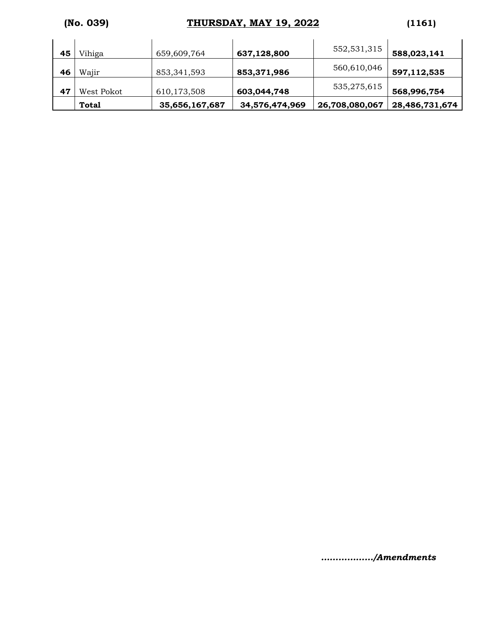# **(No. 039) THURSDAY, MAY 19, 2022 (1161)**

|    | <b>Total</b> | 35,656,167,687 | 34,576,474,969 | 26,708,080,067 | 28,486,731,674 |
|----|--------------|----------------|----------------|----------------|----------------|
| 47 | West Pokot   | 610,173,508    | 603,044,748    | 535,275,615    | 568,996,754    |
| 46 | Wajir        | 853, 341, 593  | 853,371,986    | 560,610,046    | 597,112,535    |
| 45 | Vihiga       | 659,609,764    | 637,128,800    | 552,531,315    | 588,023,141    |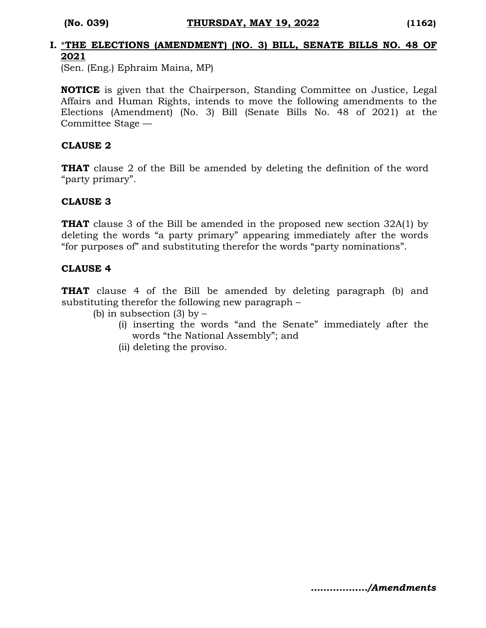#### **I.** \***THE ELECTIONS (AMENDMENT) (NO. 3) BILL, SENATE BILLS NO. 48 OF 2021**

(Sen. (Eng.) Ephraim Maina, MP)

**NOTICE** is given that the Chairperson, Standing Committee on Justice, Legal Affairs and Human Rights, intends to move the following amendments to the Elections (Amendment) (No. 3) Bill (Senate Bills No. 48 of 2021) at the Committee Stage —

#### **CLAUSE 2**

**THAT** clause 2 of the Bill be amended by deleting the definition of the word "party primary".

### **CLAUSE 3**

**THAT** clause 3 of the Bill be amended in the proposed new section 32A(1) by deleting the words "a party primary" appearing immediately after the words "for purposes of" and substituting therefor the words "party nominations".

#### **CLAUSE 4**

**THAT** clause 4 of the Bill be amended by deleting paragraph (b) and substituting therefor the following new paragraph –

- (b) in subsection  $(3)$  by  $-$ 
	- (i) inserting the words "and the Senate" immediately after the words "the National Assembly"; and
	- (ii) deleting the proviso.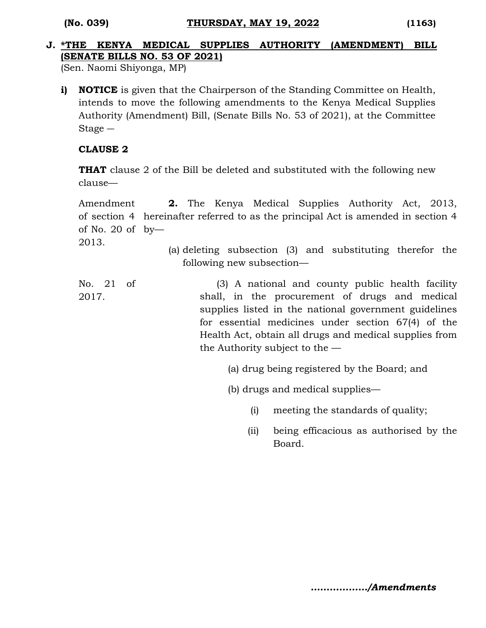# **J. \*THE KENYA MEDICAL SUPPLIES AUTHORITY (AMENDMENT) BILL (SENATE BILLS NO. 53 OF 2021)**

(Sen. Naomi Shiyonga, MP)

**i) NOTICE** is given that the Chairperson of the Standing Committee on Health, intends to move the following amendments to the Kenya Medical Supplies Authority (Amendment) Bill, (Senate Bills No. 53 of 2021), at the Committee Stage ―

# **CLAUSE 2**

**THAT** clause 2 of the Bill be deleted and substituted with the following new clause—

Amendment of section 4 hereinafter referred to as the principal Act is amended in section 4 of No. 20 of by— 2013. **2.** The Kenya Medical Supplies Authority Act, 2013,

(a) deleting subsection (3) and substituting therefor the following new subsection—

No. 21 of 2017. (3) A national and county public health facility shall, in the procurement of drugs and medical supplies listed in the national government guidelines for essential medicines under section 67(4) of the Health Act, obtain all drugs and medical supplies from the Authority subject to the —

- (a) drug being registered by the Board; and
- (b) drugs and medical supplies—
	- (i) meeting the standards of quality;
	- (ii) being efficacious as authorised by the Board.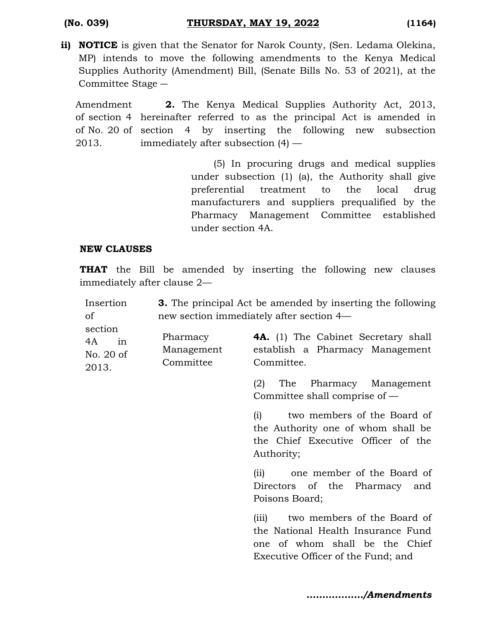**ii) NOTICE** is given that the Senator for Narok County, (Sen. Ledama Olekina, MP) intends to move the following amendments to the Kenya Medical Supplies Authority (Amendment) Bill, (Senate Bills No. 53 of 2021), at the Committee Stage ―

Amendment of section 4 hereinafter referred to as the principal Act is amended in of No. 20 of section 4 by inserting the following new subsection 2013. **2.** The Kenya Medical Supplies Authority Act, 2013, immediately after subsection (4) —

> (5) In procuring drugs and medical supplies under subsection (1) (a), the Authority shall give preferential treatment to the local drug manufacturers and suppliers prequalified by the Pharmacy Management Committee established under section 4A.

#### **NEW CLAUSES**

**THAT** the Bill be amended by inserting the following new clauses immediately after clause 2—

| Insertion<br><sub>of</sub>                |                                     | <b>3.</b> The principal Act be amended by inserting the following<br>new section immediately after section 4—                                      |
|-------------------------------------------|-------------------------------------|----------------------------------------------------------------------------------------------------------------------------------------------------|
| section<br>4A<br>in<br>No. 20 of<br>2013. | Pharmacy<br>Management<br>Committee | <b>4A.</b> (1) The Cabinet Secretary shall<br>establish a Pharmacy Management<br>Committee.                                                        |
|                                           |                                     | Pharmacy Management<br>(2)<br>The<br>Committee shall comprise of $-$                                                                               |
|                                           |                                     | two members of the Board of<br>(i)<br>the Authority one of whom shall be<br>the Chief Executive Officer of the<br>Authority;                       |
|                                           |                                     | one member of the Board of<br>(ii)<br>Directors of the Pharmacy and<br>Poisons Board;                                                              |
|                                           |                                     | two members of the Board of<br>(iii)<br>the National Health Insurance Fund<br>one of whom shall be the Chief<br>Executive Officer of the Fund; and |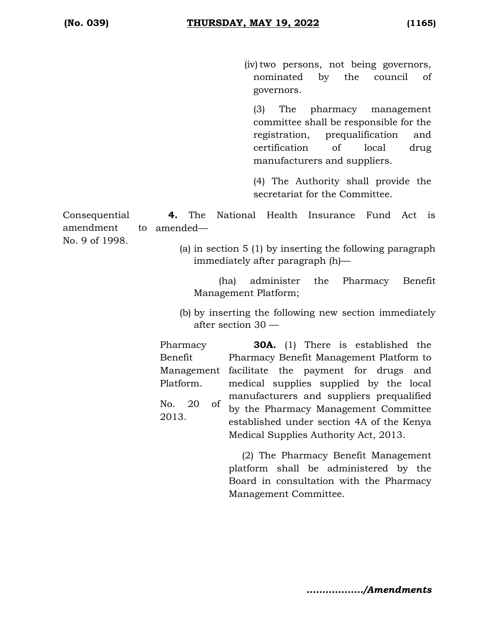(iv) two persons, not being governors, nominated by the council of governors.

(3) The pharmacy management committee shall be responsible for the registration, prequalification and certification of local drug manufacturers and suppliers.

(4) The Authority shall provide the secretariat for the Committee.

Consequential amendment No. 9 of 1998. **4.** The National Health Insurance Fund Act is amended—

> (a) in section 5 (1) by inserting the following paragraph immediately after paragraph (h)—

(ha) administer the Pharmacy Benefit Management Platform;

(b) by inserting the following new section immediately after section 30 —

Pharmacy Benefit Management facilitate the payment for drugs and Platform. No. 20 of 2013. **30A.** (1) There is established the Pharmacy Benefit Management Platform to medical supplies supplied by the local manufacturers and suppliers prequalified by the Pharmacy Management Committee established under section 4A of the Kenya Medical Supplies Authority Act, 2013.

> (2) The Pharmacy Benefit Management platform shall be administered by the Board in consultation with the Pharmacy Management Committee.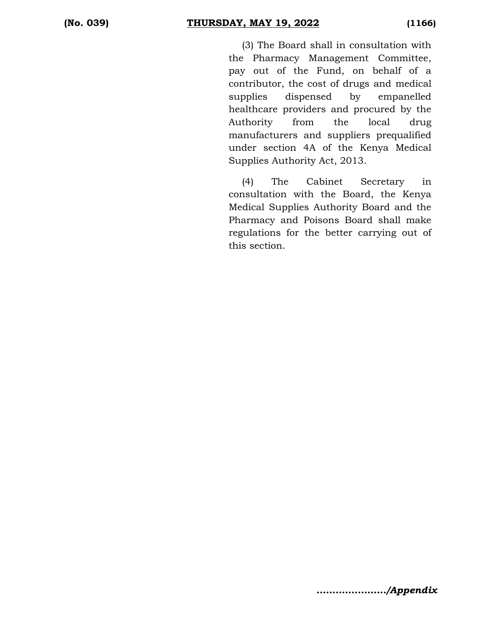(3) The Board shall in consultation with the Pharmacy Management Committee, pay out of the Fund, on behalf of a contributor, the cost of drugs and medical supplies dispensed by empanelled healthcare providers and procured by the Authority from the local drug manufacturers and suppliers prequalified under section 4A of the Kenya Medical Supplies Authority Act, 2013.

(4) The Cabinet Secretary in consultation with the Board, the Kenya Medical Supplies Authority Board and the Pharmacy and Poisons Board shall make regulations for the better carrying out of this section.

*…………..……../Appendix*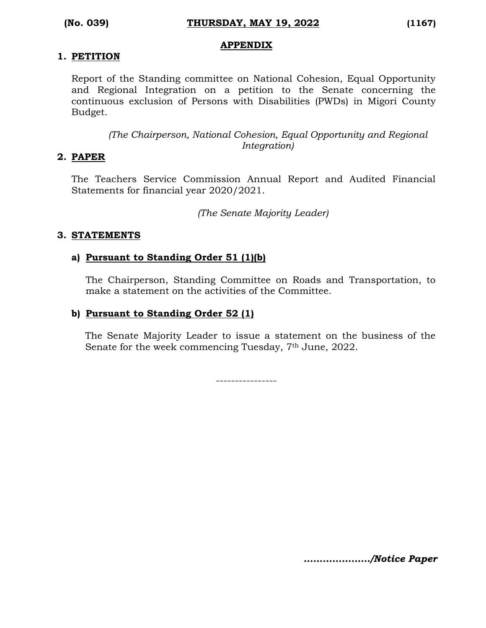#### **APPENDIX**

# **1. PETITION**

Report of the Standing committee on National Cohesion, Equal Opportunity and Regional Integration on a petition to the Senate concerning the continuous exclusion of Persons with Disabilities (PWDs) in Migori County Budget.

*(The Chairperson, National Cohesion, Equal Opportunity and Regional Integration)*

### **2. PAPER**

The Teachers Service Commission Annual Report and Audited Financial Statements for financial year 2020/2021.

*(The Senate Majority Leader)*

### **3. STATEMENTS**

### **a) Pursuant to Standing Order 51 (1)(b)**

The Chairperson, Standing Committee on Roads and Transportation, to make a statement on the activities of the Committee.

## **b) Pursuant to Standing Order 52 (1)**

The Senate Majority Leader to issue a statement on the business of the Senate for the week commencing Tuesday, 7<sup>th</sup> June, 2022.

----------------

*…………………/Notice Paper*